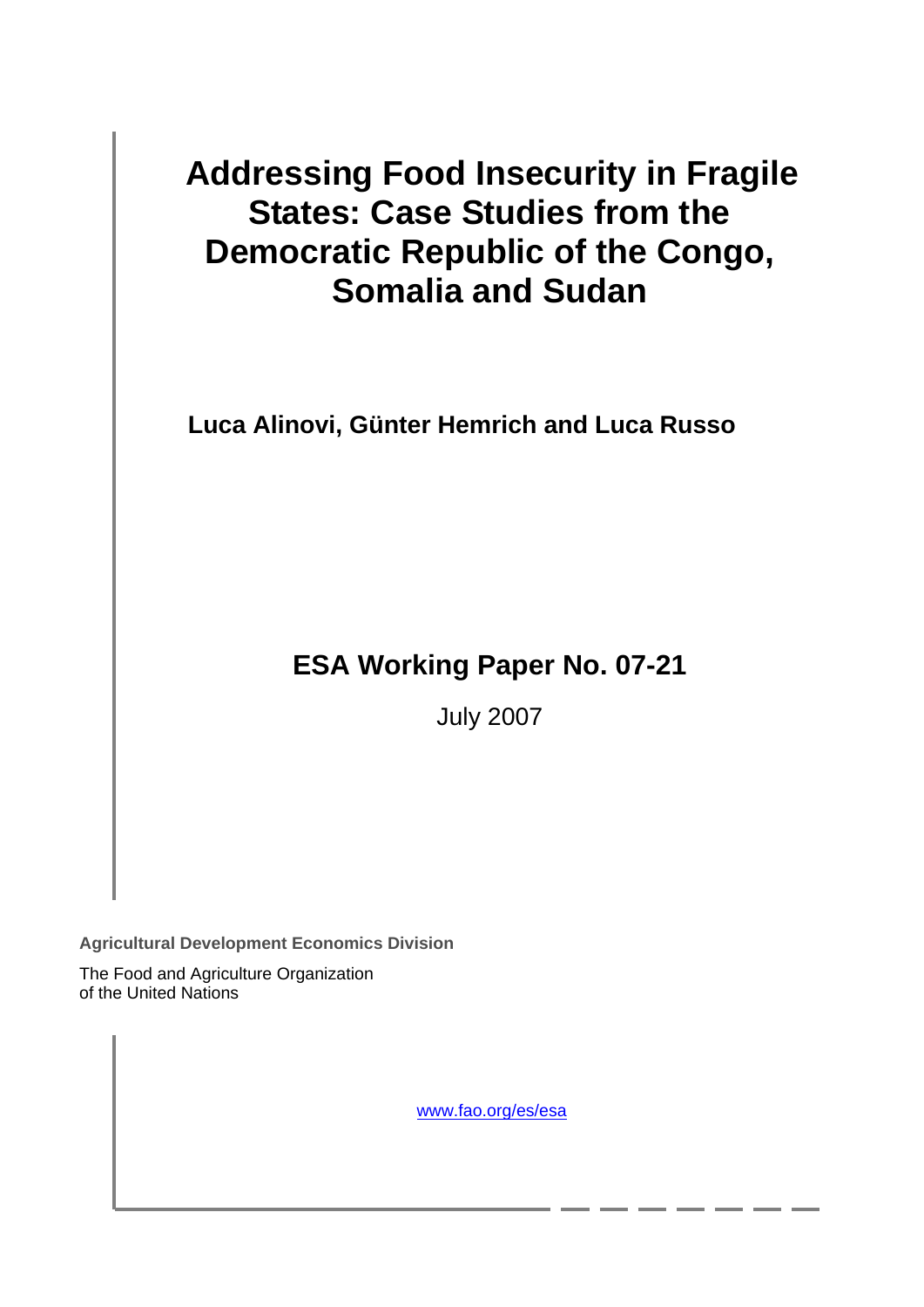# **Addressing Food Insecurity in Fragile States: Case Studies from the Democratic Republic of the Congo, Somalia and Sudan**

**Luca Alinovi, Günter Hemrich and Luca Russo** 

# **ESA Working Paper No. 07-21**

July 2007

**Agricultural Development Economics Division** 

The Food and Agriculture Organization of the United Nations

www.fao.org/es/esa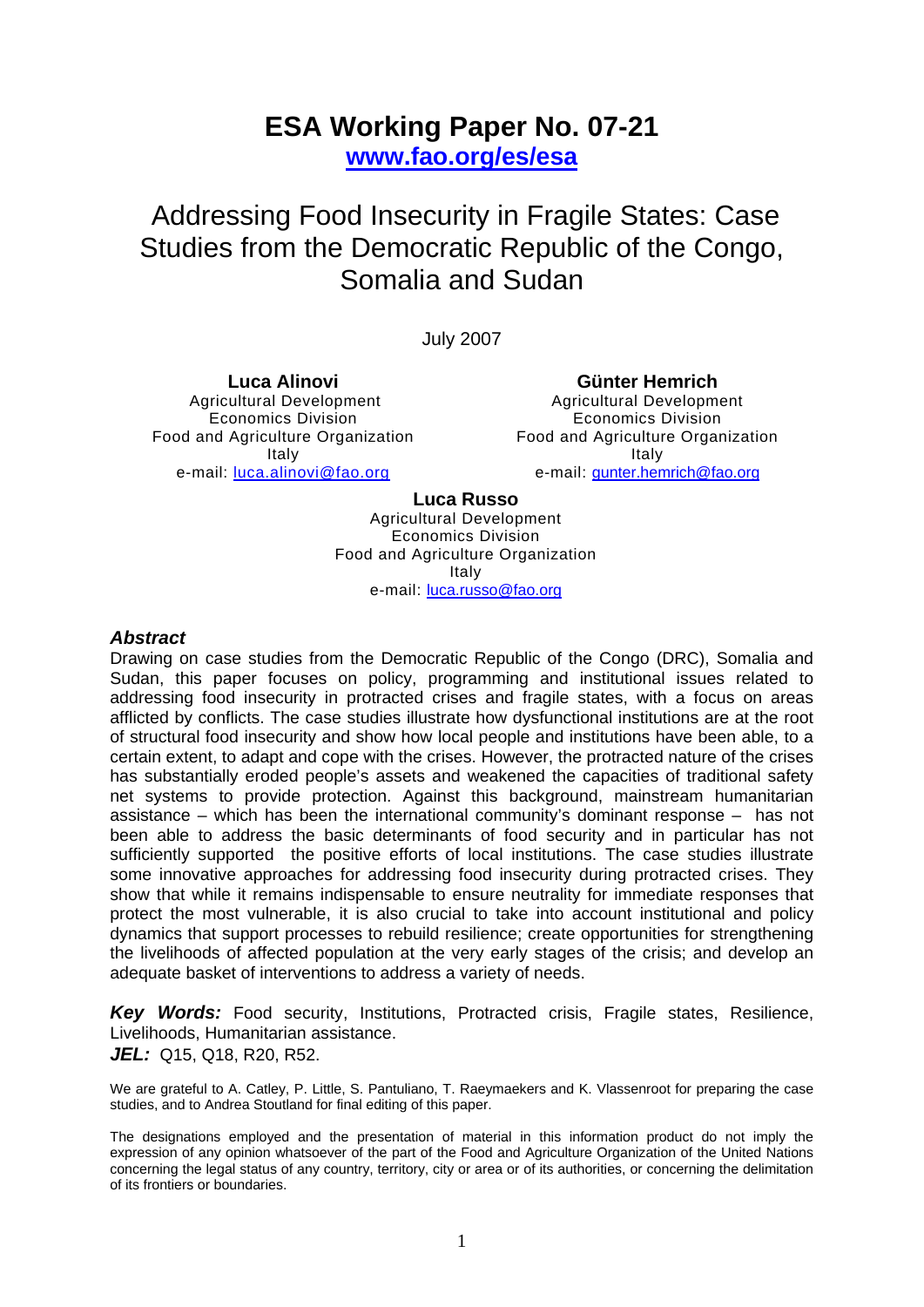# **ESA Working Paper No. 07-21**

**www.fao.org/es/esa**

 Addressing Food Insecurity in Fragile States: Case Studies from the Democratic Republic of the Congo, Somalia and Sudan

July 2007

**Luca Alinovi**  Agricultural Development Economics Division Food and Agriculture Organization Italy e-mail: [luca.alinovi@fao.org](mailto:luca.alinovi@fao.org)

**Günter Hemrich**  Agricultural Development

Economics Division Food and Agriculture Organization Italy e-mail: [gunter.hemrich@fao.org](mailto:gunter.hemrich@fao.org)

# **Luca Russo**

Agricultural Development Economics Division Food and Agriculture Organization Italy e-mail: [luca.russo@fao.org](mailto:luca.rosso@fao.org)

# *Abstract*

Drawing on case studies from the Democratic Republic of the Congo (DRC), Somalia and Sudan, this paper focuses on policy, programming and institutional issues related to addressing food insecurity in protracted crises and fragile states, with a focus on areas afflicted by conflicts. The case studies illustrate how dysfunctional institutions are at the root of structural food insecurity and show how local people and institutions have been able, to a certain extent, to adapt and cope with the crises. However, the protracted nature of the crises has substantially eroded people's assets and weakened the capacities of traditional safety net systems to provide protection. Against this background, mainstream humanitarian assistance – which has been the international community's dominant response – has not been able to address the basic determinants of food security and in particular has not sufficiently supported the positive efforts of local institutions. The case studies illustrate some innovative approaches for addressing food insecurity during protracted crises. They show that while it remains indispensable to ensure neutrality for immediate responses that protect the most vulnerable, it is also crucial to take into account institutional and policy dynamics that support processes to rebuild resilience; create opportunities for strengthening the livelihoods of affected population at the very early stages of the crisis; and develop an adequate basket of interventions to address a variety of needs.

*Key Words:* Food security, Institutions, Protracted crisis, Fragile states, Resilience, Livelihoods, Humanitarian assistance. *JEL:* Q15, Q18, R20, R52.

We are grateful to A. Catley, P. Little, S. Pantuliano, T. Raeymaekers and K. Vlassenroot for preparing the case studies, and to Andrea Stoutland for final editing of this paper.

The designations employed and the presentation of material in this information product do not imply the expression of any opinion whatsoever of the part of the Food and Agriculture Organization of the United Nations concerning the legal status of any country, territory, city or area or of its authorities, or concerning the delimitation of its frontiers or boundaries.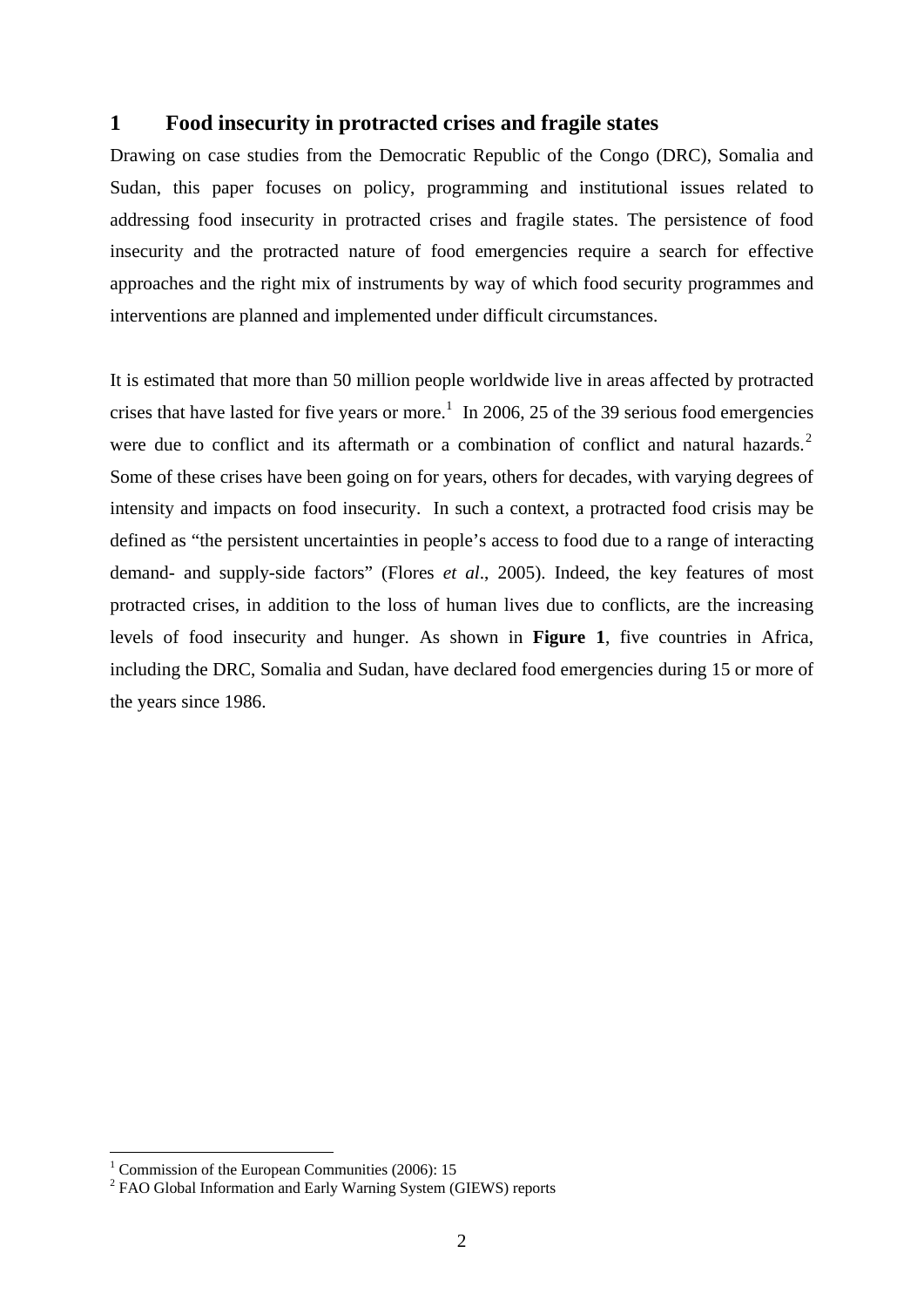# **1 Food insecurity in protracted crises and fragile states**

Drawing on case studies from the Democratic Republic of the Congo (DRC), Somalia and Sudan, this paper focuses on policy, programming and institutional issues related to addressing food insecurity in protracted crises and fragile states. The persistence of food insecurity and the protracted nature of food emergencies require a search for effective approaches and the right mix of instruments by way of which food security programmes and interventions are planned and implemented under difficult circumstances.

It is estimated that more than 50 million people worldwide live in areas affected by protracted crises that have lasted for five years or more.<sup>[1](#page-2-0)</sup> In 2006, 25 of the 39 serious food emergencies were due to conflict and its aftermath or a combination of conflict and natural hazards.<sup>[2](#page-2-1)</sup> Some of these crises have been going on for years, others for decades, with varying degrees of intensity and impacts on food insecurity. In such a context, a protracted food crisis may be defined as "the persistent uncertainties in people's access to food due to a range of interacting demand- and supply-side factors" (Flores *et al*., 2005). Indeed, the key features of most protracted crises, in addition to the loss of human lives due to conflicts, are the increasing levels of food insecurity and hunger. As shown in **Figure 1**, five countries in Africa, including the DRC, Somalia and Sudan, have declared food emergencies during 15 or more of the years since 1986.

<u>.</u>

<span id="page-2-0"></span><sup>&</sup>lt;sup>1</sup> Commission of the European Communities (2006): 15

<span id="page-2-1"></span><sup>&</sup>lt;sup>2</sup> FAO Global Information and Early Warning System (GIEWS) reports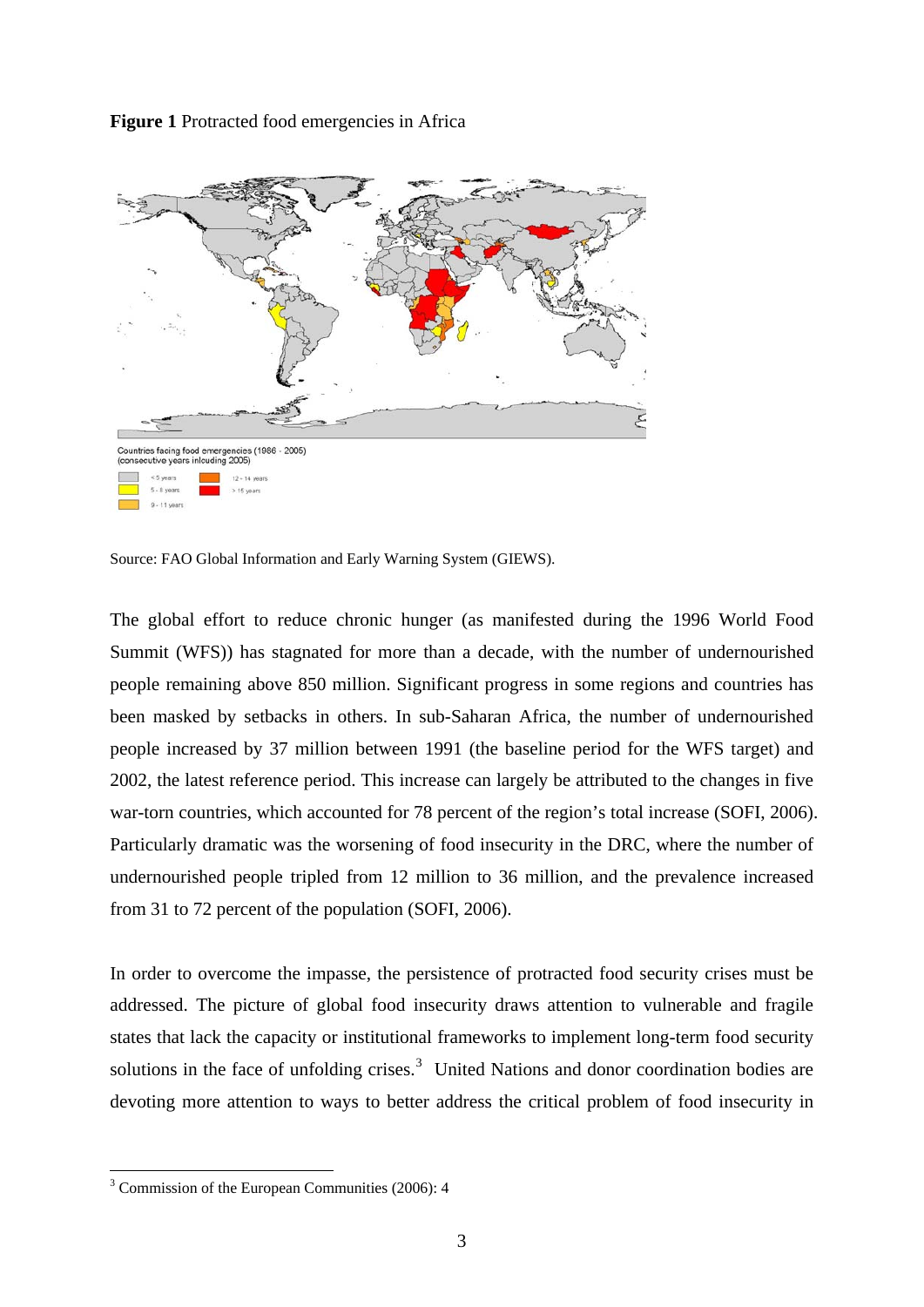Figure 1 Protracted food emergencies in Africa



Source: FAO Global Information and Early Warning System (GIEWS).

The global effort to reduce chronic hunger (as manifested during the 1996 World Food Summit (WFS)) has stagnated for more than a decade, with the number of undernourished people remaining above 850 million. Significant progress in some regions and countries has been masked by setbacks in others. In sub-Saharan Africa, the number of undernourished people increased by 37 million between 1991 (the baseline period for the WFS target) and 2002, the latest reference period. This increase can largely be attributed to the changes in five war-torn countries, which accounted for 78 percent of the region's total increase (SOFI, 2006). Particularly dramatic was the worsening of food insecurity in the DRC, where the number of undernourished people tripled from 12 million to 36 million, and the prevalence increased from 31 to 72 percent of the population (SOFI, 2006).

In order to overcome the impasse, the persistence of protracted food security crises must be addressed. The picture of global food insecurity draws attention to vulnerable and fragile states that lack the capacity or institutional frameworks to implement long-term food security solutions in the face of unfolding crises. $3$  United Nations and donor coordination bodies are devoting more attention to ways to better address the critical problem of food insecurity in

1

<span id="page-3-0"></span><sup>3</sup> Commission of the European Communities (2006): 4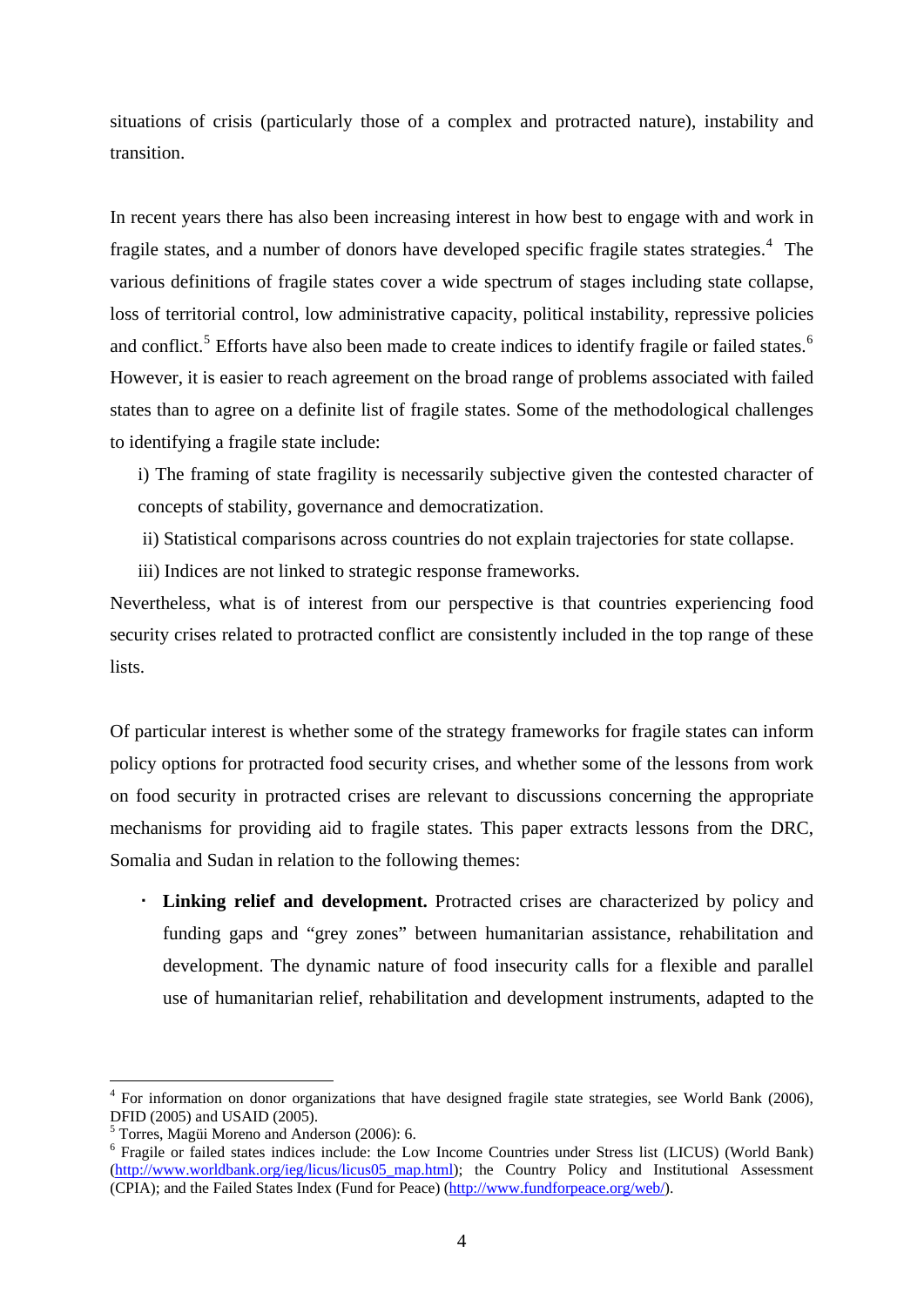<span id="page-4-0"></span>situations of crisis (particularly those of a complex and protracted nature), instability and transition.

In recent years there has also been increasing interest in how best to engage with and work in fragile states, and a number of donors have developed specific fragile states strategies.<sup>[4](#page-4-0)</sup> The various definitions of fragile states cover a wide spectrum of stages including state collapse, loss of territorial control, low administrative capacity, political instability, repressive policies and conflict.<sup>[5](#page-4-0)</sup> Efforts have also been made to create indices to identify fragile or failed states.<sup>[6](#page-4-0)</sup> However, it is easier to reach agreement on the broad range of problems associated with failed states than to agree on a definite list of fragile states. Some of the methodological challenges to identifying a fragile state include:

i) The framing of state fragility is necessarily subjective given the contested character of concepts of stability, governance and democratization.

- ii) Statistical comparisons across countries do not explain trajectories for state collapse.
- iii) Indices are not linked to strategic response frameworks.

Nevertheless, what is of interest from our perspective is that countries experiencing food security crises related to protracted conflict are consistently included in the top range of these lists.

Of particular interest is whether some of the strategy frameworks for fragile states can inform policy options for protracted food security crises, and whether some of the lessons from work on food security in protracted crises are relevant to discussions concerning the appropriate mechanisms for providing aid to fragile states. This paper extracts lessons from the DRC, Somalia and Sudan in relation to the following themes:

 **Linking relief and development.** Protracted crises are characterized by policy and funding gaps and "grey zones" between humanitarian assistance, rehabilitation and development. The dynamic nature of food insecurity calls for a flexible and parallel use of humanitarian relief, rehabilitation and development instruments, adapted to the

1

<sup>4</sup> For information on donor organizations that have designed fragile state strategies, see World Bank (2006), DFID (2005) and USAID (2005).

<sup>5</sup> Torres, Magüi Moreno and Anderson (2006): 6.

<sup>&</sup>lt;sup>6</sup> Fragile or failed states indices include: the Low Income Countries under Stress list (LICUS) (World Bank) (http://www.worldbank.org/ieg/licus/licus05 map.html); the Country Policy and Institutional Assessment (CPIA); and the Failed States Index (Fund for Peace) (<http://www.fundforpeace.org/web/>).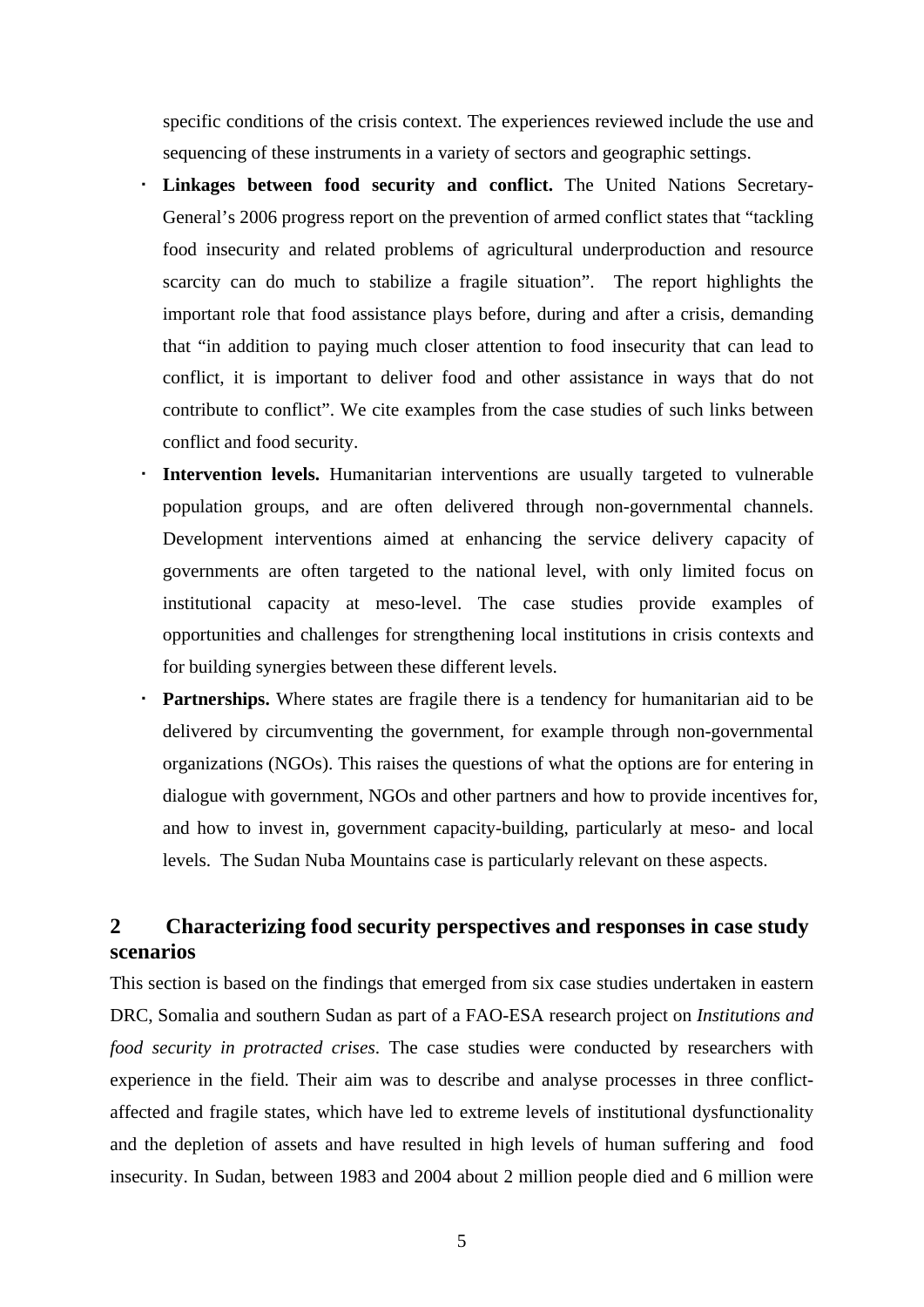specific conditions of the crisis context. The experiences reviewed include the use and sequencing of these instruments in a variety of sectors and geographic settings.

- **Linkages between food security and conflict.** The United Nations Secretary-General's 2006 progress report on the prevention of armed conflict states that "tackling food insecurity and related problems of agricultural underproduction and resource scarcity can do much to stabilize a fragile situation". The report highlights the important role that food assistance plays before, during and after a crisis, demanding that "in addition to paying much closer attention to food insecurity that can lead to conflict, it is important to deliver food and other assistance in ways that do not contribute to conflict". We cite examples from the case studies of such links between conflict and food security.
- **Intervention levels.** Humanitarian interventions are usually targeted to vulnerable population groups, and are often delivered through non-governmental channels. Development interventions aimed at enhancing the service delivery capacity of governments are often targeted to the national level, with only limited focus on institutional capacity at meso-level. The case studies provide examples of opportunities and challenges for strengthening local institutions in crisis contexts and for building synergies between these different levels.
- **Partnerships.** Where states are fragile there is a tendency for humanitarian aid to be delivered by circumventing the government, for example through non-governmental organizations (NGOs). This raises the questions of what the options are for entering in dialogue with government, NGOs and other partners and how to provide incentives for, and how to invest in, government capacity-building, particularly at meso- and local levels. The Sudan Nuba Mountains case is particularly relevant on these aspects.

# **2 Characterizing food security perspectives and responses in case study scenarios**

This section is based on the findings that emerged from six case studies undertaken in eastern DRC, Somalia and southern Sudan as part of a FAO-ESA research project on *Institutions and food security in protracted crises*. The case studies were conducted by researchers with experience in the field. Their aim was to describe and analyse processes in three conflictaffected and fragile states, which have led to extreme levels of institutional dysfunctionality and the depletion of assets and have resulted in high levels of human suffering and food insecurity. In Sudan, between 1983 and 2004 about 2 million people died and 6 million were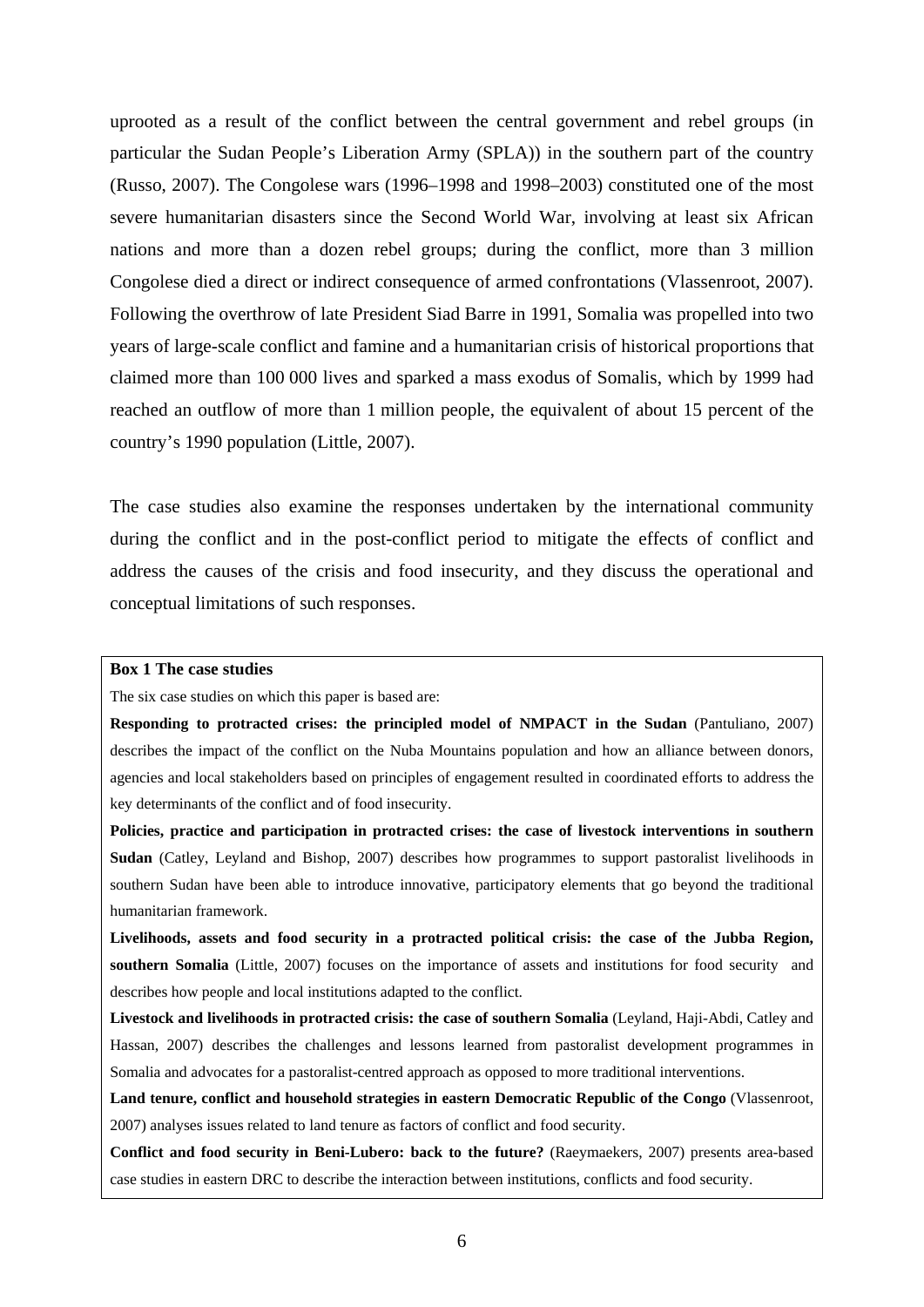uprooted as a result of the conflict between the central government and rebel groups (in particular the Sudan People's Liberation Army (SPLA)) in the southern part of the country (Russo, 2007). The Congolese wars (1996–1998 and 1998–2003) constituted one of the most severe humanitarian disasters since the Second World War, involving at least six African nations and more than a dozen rebel groups; during the conflict, more than 3 million Congolese died a direct or indirect consequence of armed confrontations (Vlassenroot, 2007). Following the overthrow of late President Siad Barre in 1991, Somalia was propelled into two years of large-scale conflict and famine and a humanitarian crisis of historical proportions that claimed more than 100 000 lives and sparked a mass exodus of Somalis, which by 1999 had reached an outflow of more than 1 million people, the equivalent of about 15 percent of the country's 1990 population (Little, 2007).

The case studies also examine the responses undertaken by the international community during the conflict and in the post-conflict period to mitigate the effects of conflict and address the causes of the crisis and food insecurity, and they discuss the operational and conceptual limitations of such responses.

#### **Box 1 The case studies**

The six case studies on which this paper is based are:

**Responding to protracted crises: the principled model of NMPACT in the Sudan** (Pantuliano, 2007) describes the impact of the conflict on the Nuba Mountains population and how an alliance between donors, agencies and local stakeholders based on principles of engagement resulted in coordinated efforts to address the key determinants of the conflict and of food insecurity.

**Policies, practice and participation in protracted crises: the case of livestock interventions in southern Sudan** (Catley, Leyland and Bishop, 2007) describes how programmes to support pastoralist livelihoods in southern Sudan have been able to introduce innovative, participatory elements that go beyond the traditional humanitarian framework.

**Livelihoods, assets and food security in a protracted political crisis: the case of the Jubba Region, southern Somalia** (Little, 2007) focuses on the importance of assets and institutions for food security and describes how people and local institutions adapted to the conflict.

**Livestock and livelihoods in protracted crisis: the case of southern Somalia** (Leyland, Haji-Abdi, Catley and Hassan, 2007) describes the challenges and lessons learned from pastoralist development programmes in Somalia and advocates for a pastoralist-centred approach as opposed to more traditional interventions.

**Land tenure, conflict and household strategies in eastern Democratic Republic of the Congo** (Vlassenroot, 2007) analyses issues related to land tenure as factors of conflict and food security.

**Conflict and food security in Beni-Lubero: back to the future?** (Raeymaekers, 2007) presents area-based case studies in eastern DRC to describe the interaction between institutions, conflicts and food security.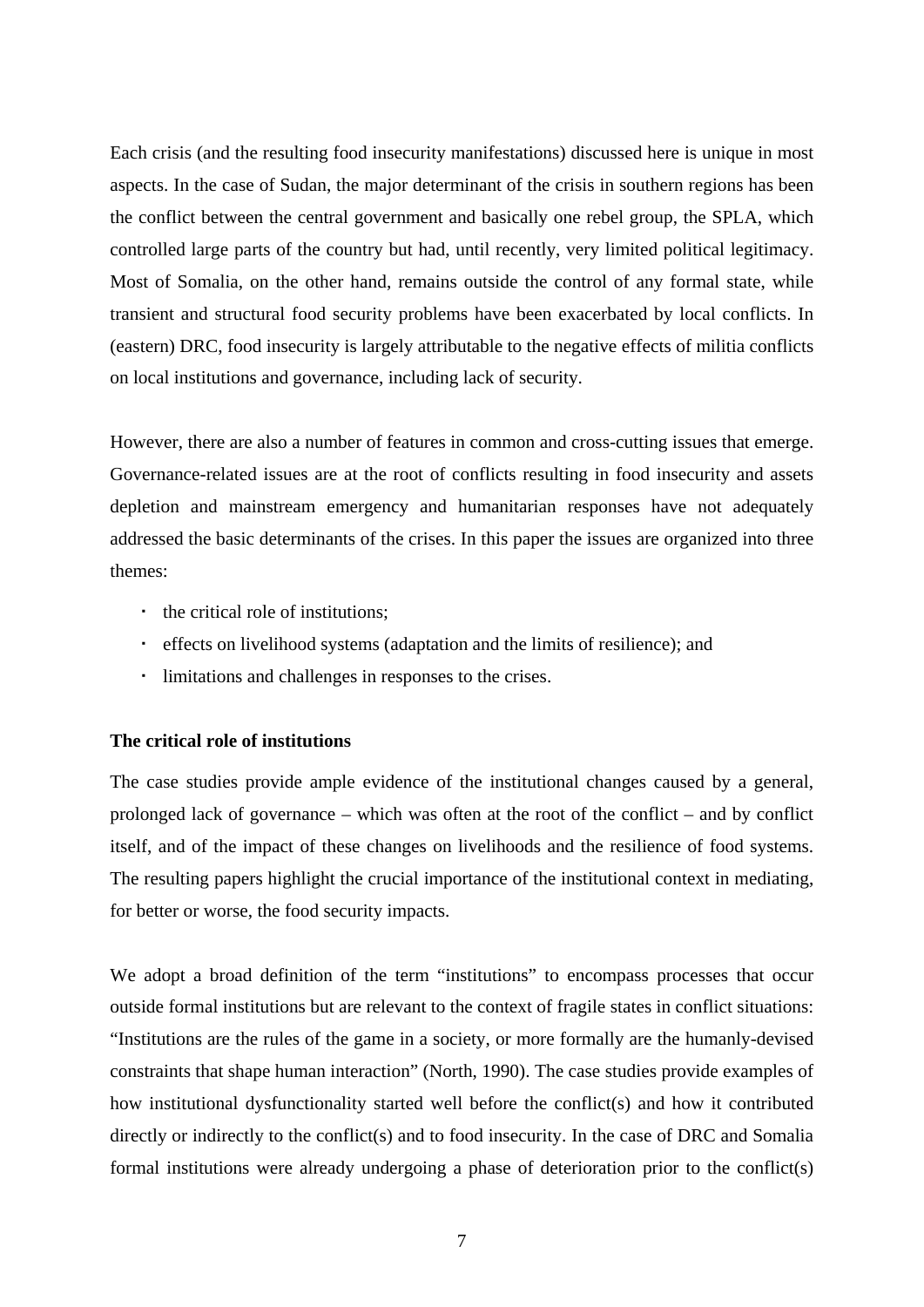Each crisis (and the resulting food insecurity manifestations) discussed here is unique in most aspects. In the case of Sudan, the major determinant of the crisis in southern regions has been the conflict between the central government and basically one rebel group, the SPLA, which controlled large parts of the country but had, until recently, very limited political legitimacy. Most of Somalia, on the other hand, remains outside the control of any formal state, while transient and structural food security problems have been exacerbated by local conflicts. In (eastern) DRC, food insecurity is largely attributable to the negative effects of militia conflicts on local institutions and governance, including lack of security.

However, there are also a number of features in common and cross-cutting issues that emerge. Governance-related issues are at the root of conflicts resulting in food insecurity and assets depletion and mainstream emergency and humanitarian responses have not adequately addressed the basic determinants of the crises. In this paper the issues are organized into three themes:

- the critical role of institutions;
- effects on livelihood systems (adaptation and the limits of resilience); and
- limitations and challenges in responses to the crises.

### **The critical role of institutions**

The case studies provide ample evidence of the institutional changes caused by a general, prolonged lack of governance – which was often at the root of the conflict – and by conflict itself, and of the impact of these changes on livelihoods and the resilience of food systems. The resulting papers highlight the crucial importance of the institutional context in mediating, for better or worse, the food security impacts.

We adopt a broad definition of the term "institutions" to encompass processes that occur outside formal institutions but are relevant to the context of fragile states in conflict situations: "Institutions are the rules of the game in a society, or more formally are the humanly-devised constraints that shape human interaction" (North, 1990). The case studies provide examples of how institutional dysfunctionality started well before the conflict(s) and how it contributed directly or indirectly to the conflict(s) and to food insecurity. In the case of DRC and Somalia formal institutions were already undergoing a phase of deterioration prior to the conflict(s)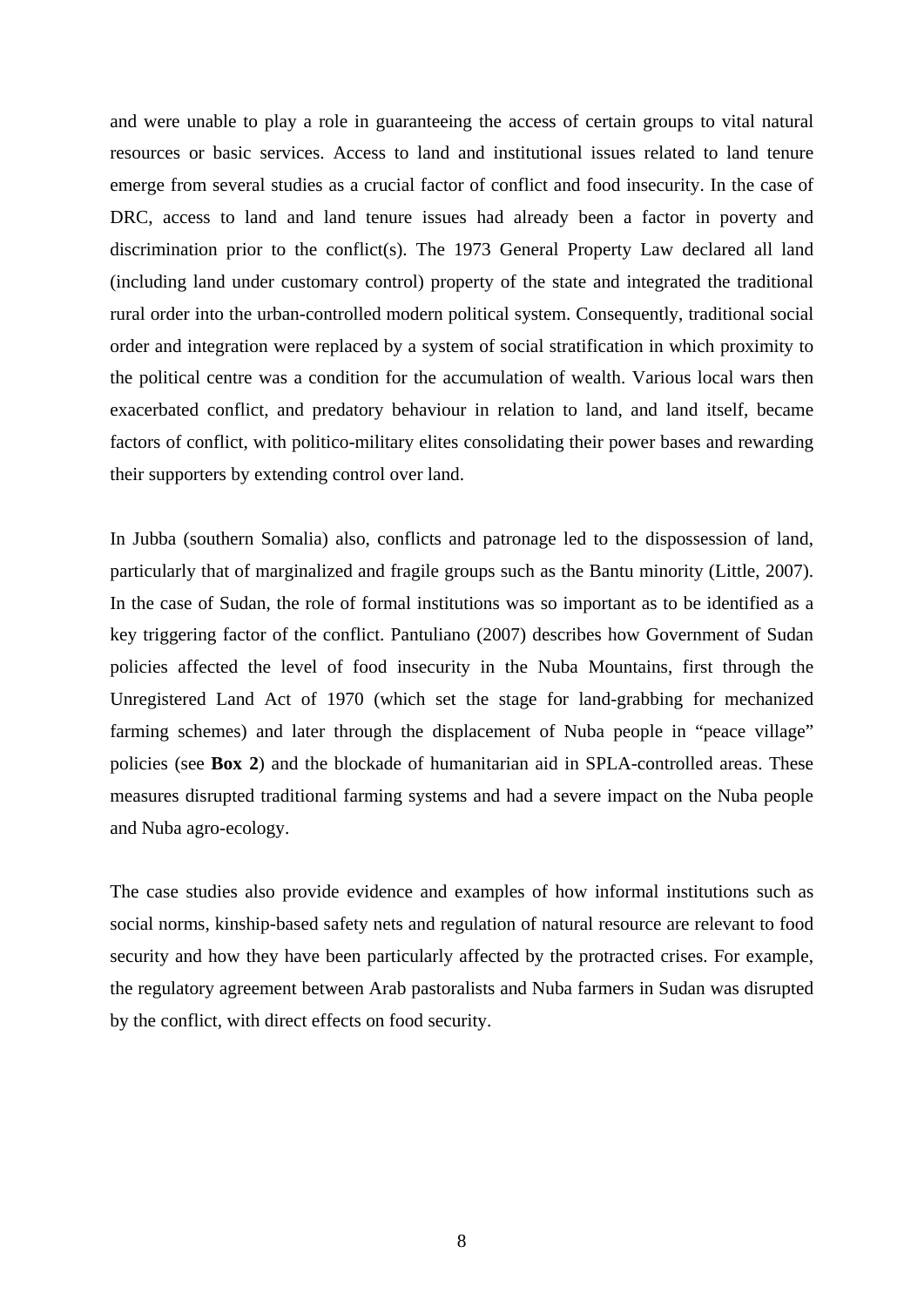and were unable to play a role in guaranteeing the access of certain groups to vital natural resources or basic services. Access to land and institutional issues related to land tenure emerge from several studies as a crucial factor of conflict and food insecurity. In the case of DRC, access to land and land tenure issues had already been a factor in poverty and discrimination prior to the conflict(s). The 1973 General Property Law declared all land (including land under customary control) property of the state and integrated the traditional rural order into the urban-controlled modern political system. Consequently, traditional social order and integration were replaced by a system of social stratification in which proximity to the political centre was a condition for the accumulation of wealth. Various local wars then exacerbated conflict, and predatory behaviour in relation to land, and land itself, became factors of conflict, with politico-military elites consolidating their power bases and rewarding their supporters by extending control over land.

In Jubba (southern Somalia) also, conflicts and patronage led to the dispossession of land, particularly that of marginalized and fragile groups such as the Bantu minority (Little, 2007). In the case of Sudan, the role of formal institutions was so important as to be identified as a key triggering factor of the conflict. Pantuliano (2007) describes how Government of Sudan policies affected the level of food insecurity in the Nuba Mountains, first through the Unregistered Land Act of 1970 (which set the stage for land-grabbing for mechanized farming schemes) and later through the displacement of Nuba people in "peace village" policies (see **Box 2**) and the blockade of humanitarian aid in SPLA-controlled areas. These measures disrupted traditional farming systems and had a severe impact on the Nuba people and Nuba agro-ecology.

The case studies also provide evidence and examples of how informal institutions such as social norms, kinship-based safety nets and regulation of natural resource are relevant to food security and how they have been particularly affected by the protracted crises. For example, the regulatory agreement between Arab pastoralists and Nuba farmers in Sudan was disrupted by the conflict, with direct effects on food security.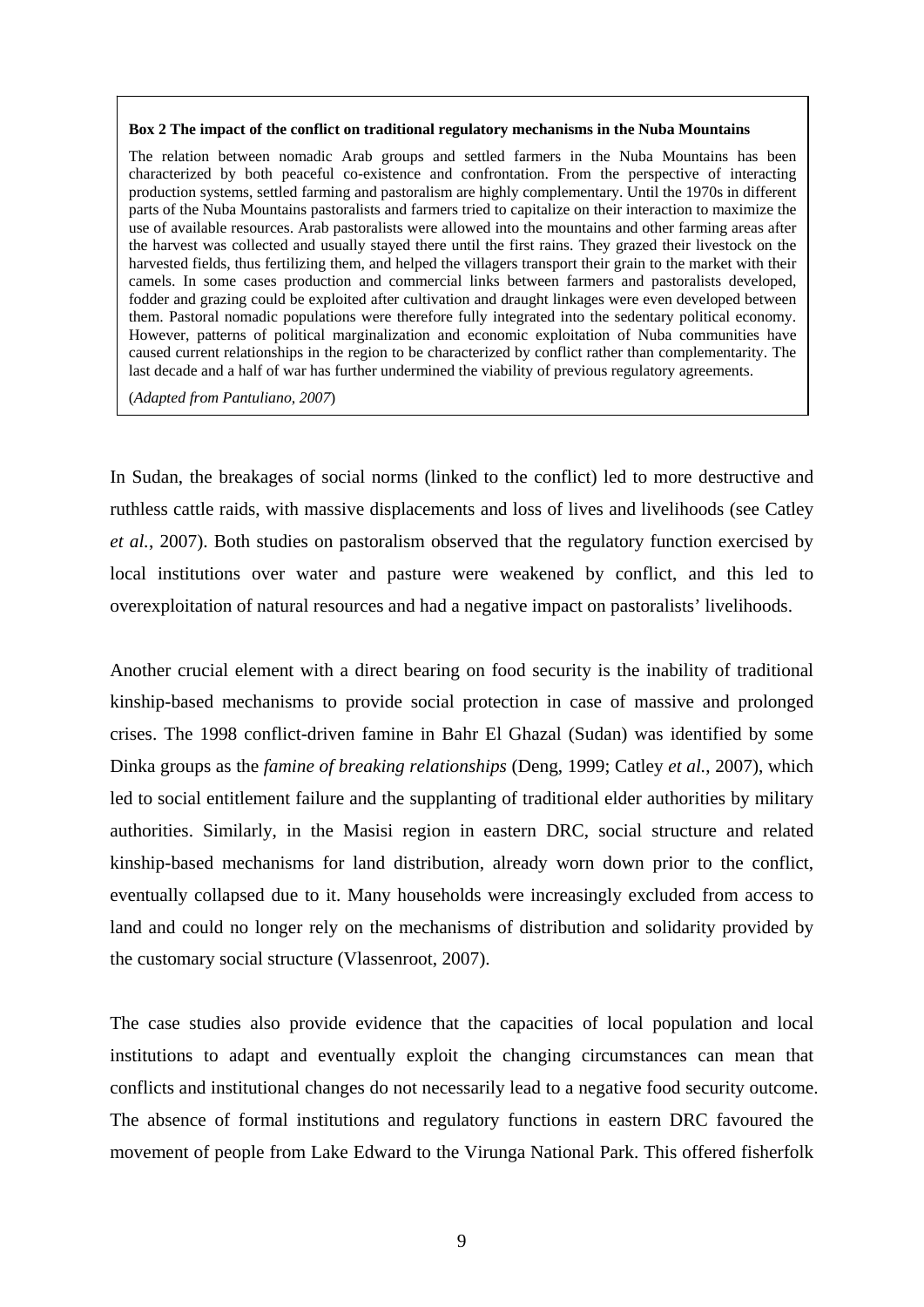#### **Box 2 The impact of the conflict on traditional regulatory mechanisms in the Nuba Mountains**

The relation between nomadic Arab groups and settled farmers in the Nuba Mountains has been characterized by both peaceful co-existence and confrontation. From the perspective of interacting production systems, settled farming and pastoralism are highly complementary. Until the 1970s in different parts of the Nuba Mountains pastoralists and farmers tried to capitalize on their interaction to maximize the use of available resources. Arab pastoralists were allowed into the mountains and other farming areas after the harvest was collected and usually stayed there until the first rains. They grazed their livestock on the harvested fields, thus fertilizing them, and helped the villagers transport their grain to the market with their camels. In some cases production and commercial links between farmers and pastoralists developed, fodder and grazing could be exploited after cultivation and draught linkages were even developed between them. Pastoral nomadic populations were therefore fully integrated into the sedentary political economy. However, patterns of political marginalization and economic exploitation of Nuba communities have caused current relationships in the region to be characterized by conflict rather than complementarity. The last decade and a half of war has further undermined the viability of previous regulatory agreements.

(*Adapted from Pantuliano, 2007*)

In Sudan, the breakages of social norms (linked to the conflict) led to more destructive and ruthless cattle raids, with massive displacements and loss of lives and livelihoods (see Catley *et al.*, 2007). Both studies on pastoralism observed that the regulatory function exercised by local institutions over water and pasture were weakened by conflict, and this led to overexploitation of natural resources and had a negative impact on pastoralists' livelihoods.

Another crucial element with a direct bearing on food security is the inability of traditional kinship-based mechanisms to provide social protection in case of massive and prolonged crises. The 1998 conflict-driven famine in Bahr El Ghazal (Sudan) was identified by some Dinka groups as the *famine of breaking relationships* (Deng, 1999; Catley *et al.*, 2007), which led to social entitlement failure and the supplanting of traditional elder authorities by military authorities. Similarly, in the Masisi region in eastern DRC, social structure and related kinship-based mechanisms for land distribution, already worn down prior to the conflict, eventually collapsed due to it. Many households were increasingly excluded from access to land and could no longer rely on the mechanisms of distribution and solidarity provided by the customary social structure (Vlassenroot, 2007).

The case studies also provide evidence that the capacities of local population and local institutions to adapt and eventually exploit the changing circumstances can mean that conflicts and institutional changes do not necessarily lead to a negative food security outcome. The absence of formal institutions and regulatory functions in eastern DRC favoured the movement of people from Lake Edward to the Virunga National Park. This offered fisherfolk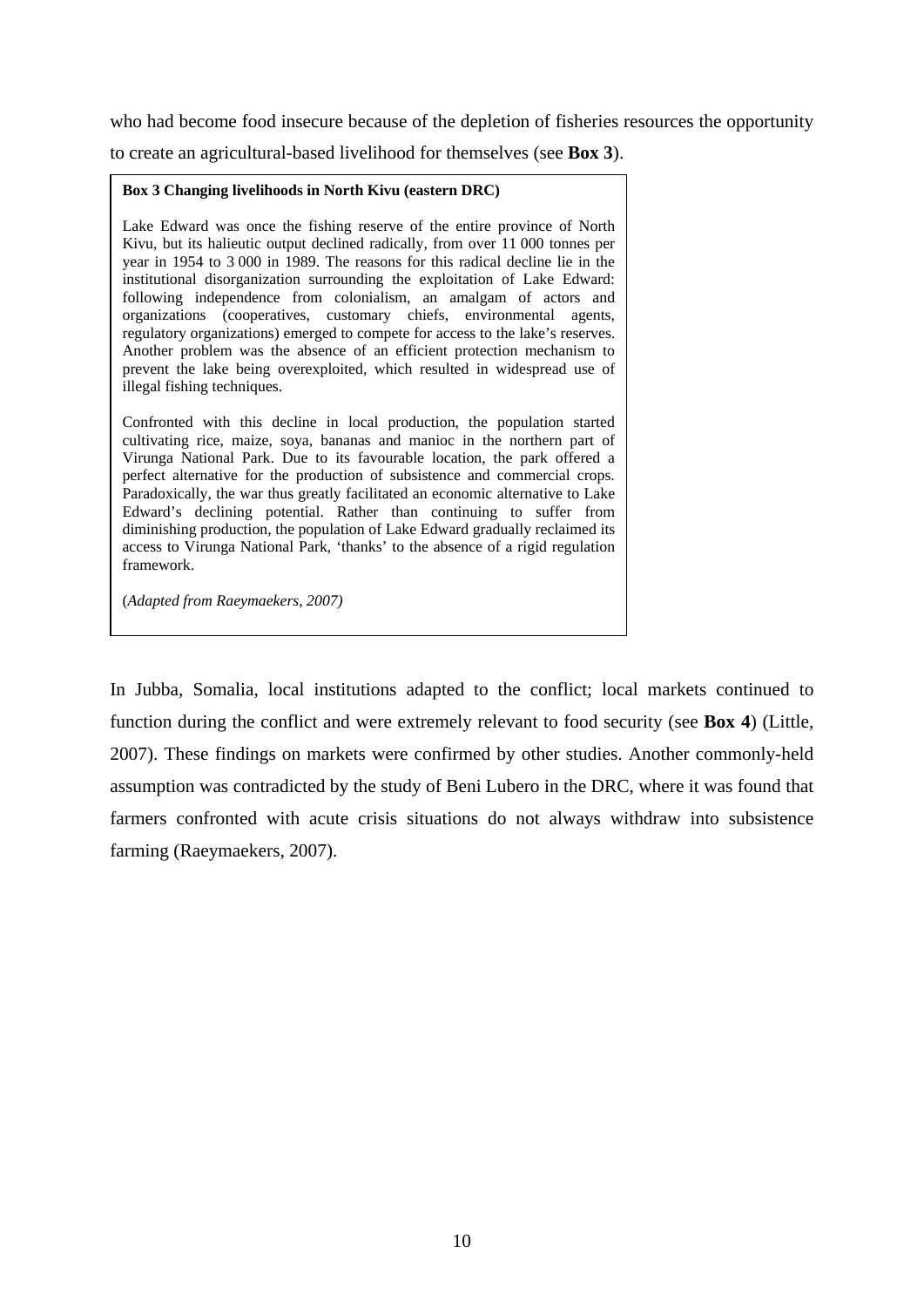who had become food insecure because of the depletion of fisheries resources the opportunity

to create an agricultural-based livelihood for themselves (see **Box 3**).

#### **Box 3 Changing livelihoods in North Kivu (eastern DRC)**

Lake Edward was once the fishing reserve of the entire province of North Kivu, but its halieutic output declined radically, from over 11 000 tonnes per year in 1954 to 3 000 in 1989. The reasons for this radical decline lie in the institutional disorganization surrounding the exploitation of Lake Edward: following independence from colonialism, an amalgam of actors and organizations (cooperatives, customary chiefs, environmental agents, regulatory organizations) emerged to compete for access to the lake's reserves. Another problem was the absence of an efficient protection mechanism to prevent the lake being overexploited, which resulted in widespread use of illegal fishing techniques.

Confronted with this decline in local production, the population started cultivating rice, maize, soya, bananas and manioc in the northern part of Virunga National Park. Due to its favourable location, the park offered a perfect alternative for the production of subsistence and commercial crops. Paradoxically, the war thus greatly facilitated an economic alternative to Lake Edward's declining potential. Rather than continuing to suffer from diminishing production, the population of Lake Edward gradually reclaimed its access to Virunga National Park, 'thanks' to the absence of a rigid regulation framework.

(*Adapted from Raeymaekers, 2007)* 

In Jubba, Somalia, local institutions adapted to the conflict; local markets continued to function during the conflict and were extremely relevant to food security (see **Box 4**) (Little, 2007). These findings on markets were confirmed by other studies. Another commonly-held assumption was contradicted by the study of Beni Lubero in the DRC, where it was found that farmers confronted with acute crisis situations do not always withdraw into subsistence farming (Raeymaekers, 2007).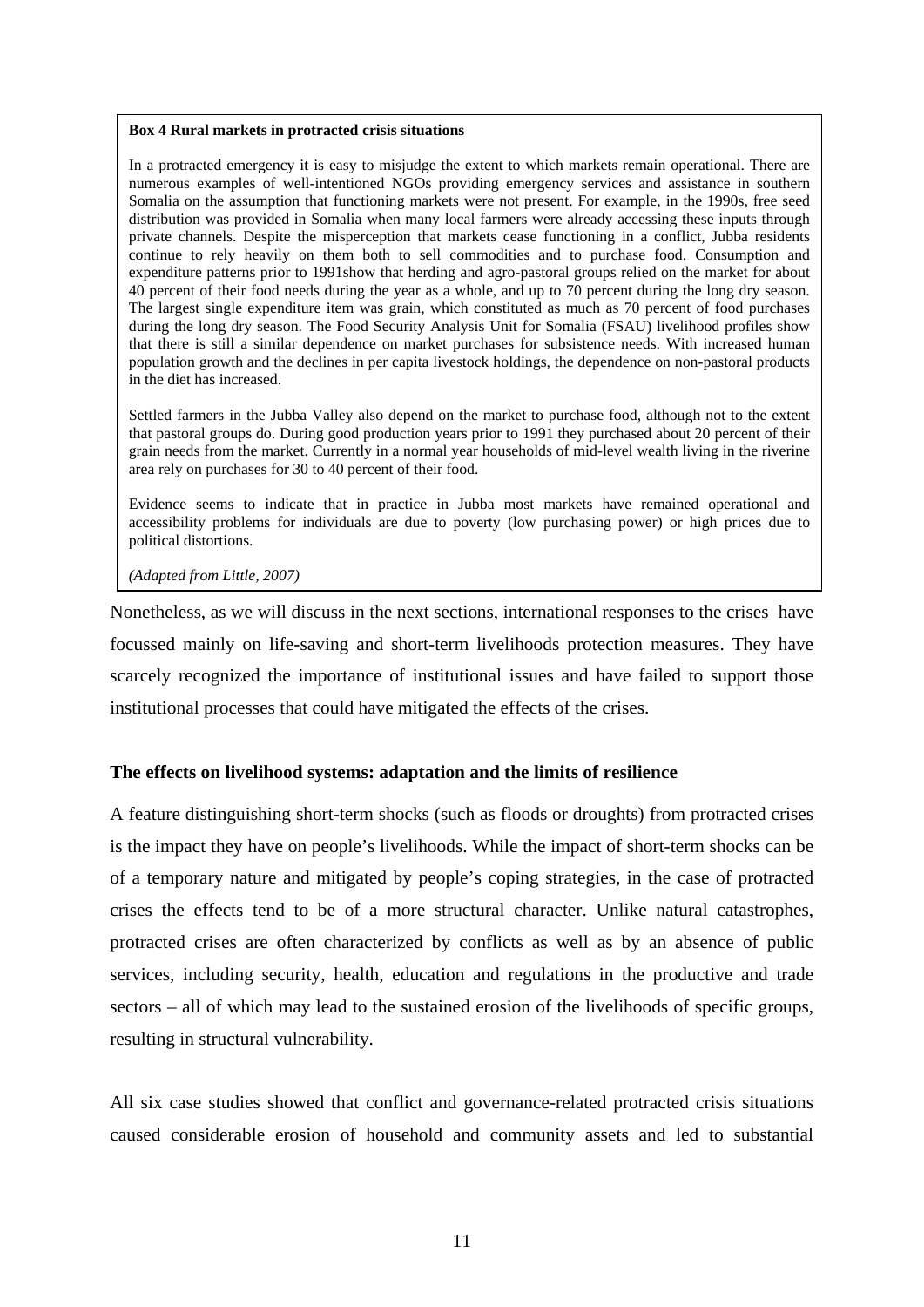#### **Box 4 Rural markets in protracted crisis situations**

In a protracted emergency it is easy to misjudge the extent to which markets remain operational. There are numerous examples of well-intentioned NGOs providing emergency services and assistance in southern Somalia on the assumption that functioning markets were not present. For example, in the 1990s, free seed distribution was provided in Somalia when many local farmers were already accessing these inputs through private channels. Despite the misperception that markets cease functioning in a conflict, Jubba residents continue to rely heavily on them both to sell commodities and to purchase food. Consumption and expenditure patterns prior to 1991show that herding and agro-pastoral groups relied on the market for about 40 percent of their food needs during the year as a whole, and up to 70 percent during the long dry season. The largest single expenditure item was grain, which constituted as much as 70 percent of food purchases during the long dry season. The Food Security Analysis Unit for Somalia (FSAU) livelihood profiles show that there is still a similar dependence on market purchases for subsistence needs. With increased human population growth and the declines in per capita livestock holdings, the dependence on non-pastoral products in the diet has increased.

Settled farmers in the Jubba Valley also depend on the market to purchase food, although not to the extent that pastoral groups do. During good production years prior to 1991 they purchased about 20 percent of their grain needs from the market. Currently in a normal year households of mid-level wealth living in the riverine area rely on purchases for 30 to 40 percent of their food.

Evidence seems to indicate that in practice in Jubba most markets have remained operational and accessibility problems for individuals are due to poverty (low purchasing power) or high prices due to political distortions.

*(Adapted from Little, 2007)*

Nonetheless, as we will discuss in the next sections, international responses to the crises have focussed mainly on life-saving and short-term livelihoods protection measures. They have scarcely recognized the importance of institutional issues and have failed to support those institutional processes that could have mitigated the effects of the crises.

#### **The effects on livelihood systems: adaptation and the limits of resilience**

A feature distinguishing short-term shocks (such as floods or droughts) from protracted crises is the impact they have on people's livelihoods. While the impact of short-term shocks can be of a temporary nature and mitigated by people's coping strategies, in the case of protracted crises the effects tend to be of a more structural character. Unlike natural catastrophes, protracted crises are often characterized by conflicts as well as by an absence of public services, including security, health, education and regulations in the productive and trade sectors – all of which may lead to the sustained erosion of the livelihoods of specific groups, resulting in structural vulnerability.

All six case studies showed that conflict and governance-related protracted crisis situations caused considerable erosion of household and community assets and led to substantial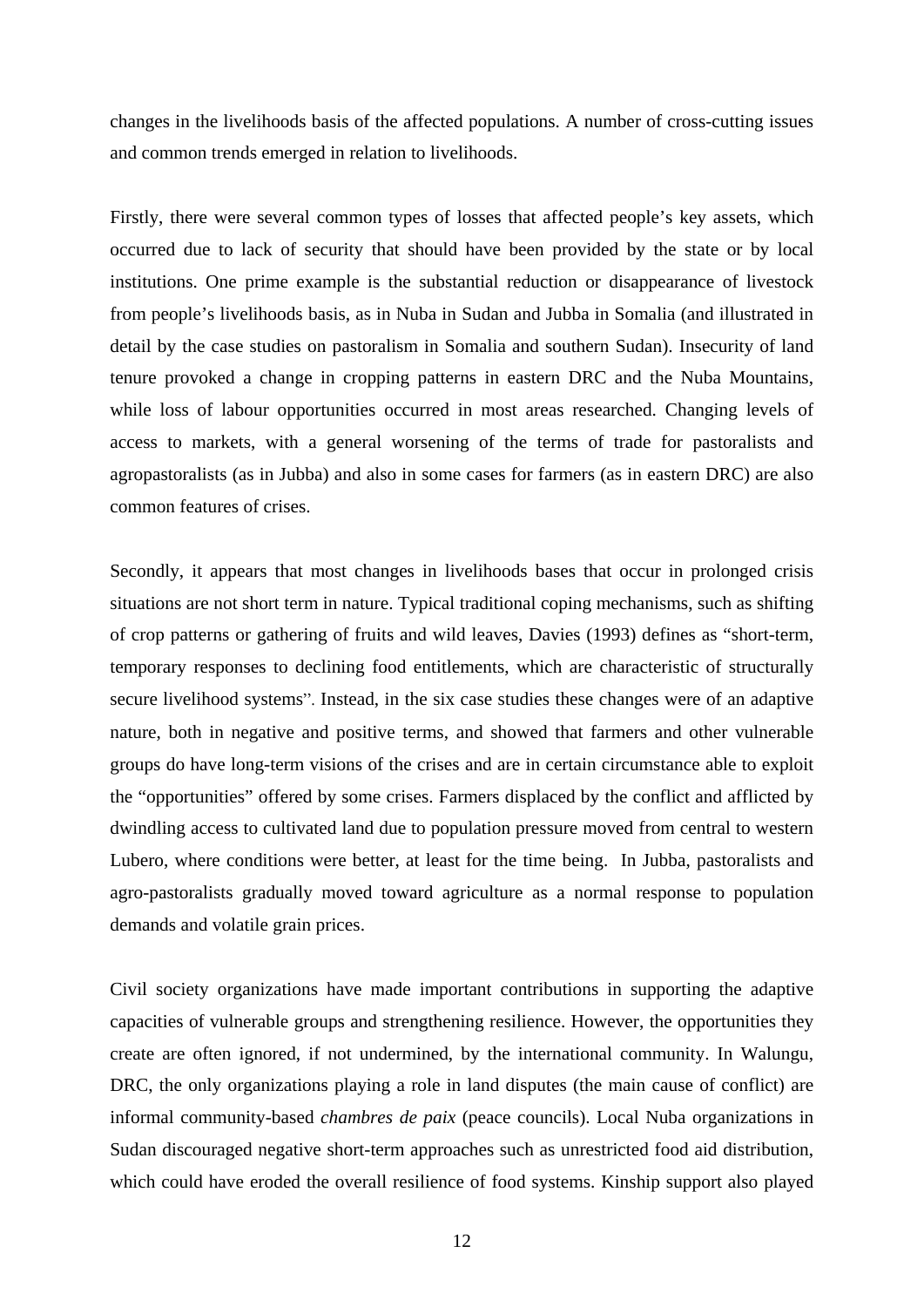changes in the livelihoods basis of the affected populations. A number of cross-cutting issues and common trends emerged in relation to livelihoods.

Firstly, there were several common types of losses that affected people's key assets, which occurred due to lack of security that should have been provided by the state or by local institutions. One prime example is the substantial reduction or disappearance of livestock from people's livelihoods basis, as in Nuba in Sudan and Jubba in Somalia (and illustrated in detail by the case studies on pastoralism in Somalia and southern Sudan). Insecurity of land tenure provoked a change in cropping patterns in eastern DRC and the Nuba Mountains, while loss of labour opportunities occurred in most areas researched. Changing levels of access to markets, with a general worsening of the terms of trade for pastoralists and agropastoralists (as in Jubba) and also in some cases for farmers (as in eastern DRC) are also common features of crises.

Secondly, it appears that most changes in livelihoods bases that occur in prolonged crisis situations are not short term in nature. Typical traditional coping mechanisms, such as shifting of crop patterns or gathering of fruits and wild leaves, Davies (1993) defines as "short-term, temporary responses to declining food entitlements, which are characteristic of structurally secure livelihood systems". Instead, in the six case studies these changes were of an adaptive nature, both in negative and positive terms, and showed that farmers and other vulnerable groups do have long-term visions of the crises and are in certain circumstance able to exploit the "opportunities" offered by some crises. Farmers displaced by the conflict and afflicted by dwindling access to cultivated land due to population pressure moved from central to western Lubero, where conditions were better, at least for the time being. In Jubba, pastoralists and agro-pastoralists gradually moved toward agriculture as a normal response to population demands and volatile grain prices.

Civil society organizations have made important contributions in supporting the adaptive capacities of vulnerable groups and strengthening resilience. However, the opportunities they create are often ignored, if not undermined, by the international community. In Walungu, DRC, the only organizations playing a role in land disputes (the main cause of conflict) are informal community-based *chambres de paix* (peace councils). Local Nuba organizations in Sudan discouraged negative short-term approaches such as unrestricted food aid distribution, which could have eroded the overall resilience of food systems. Kinship support also played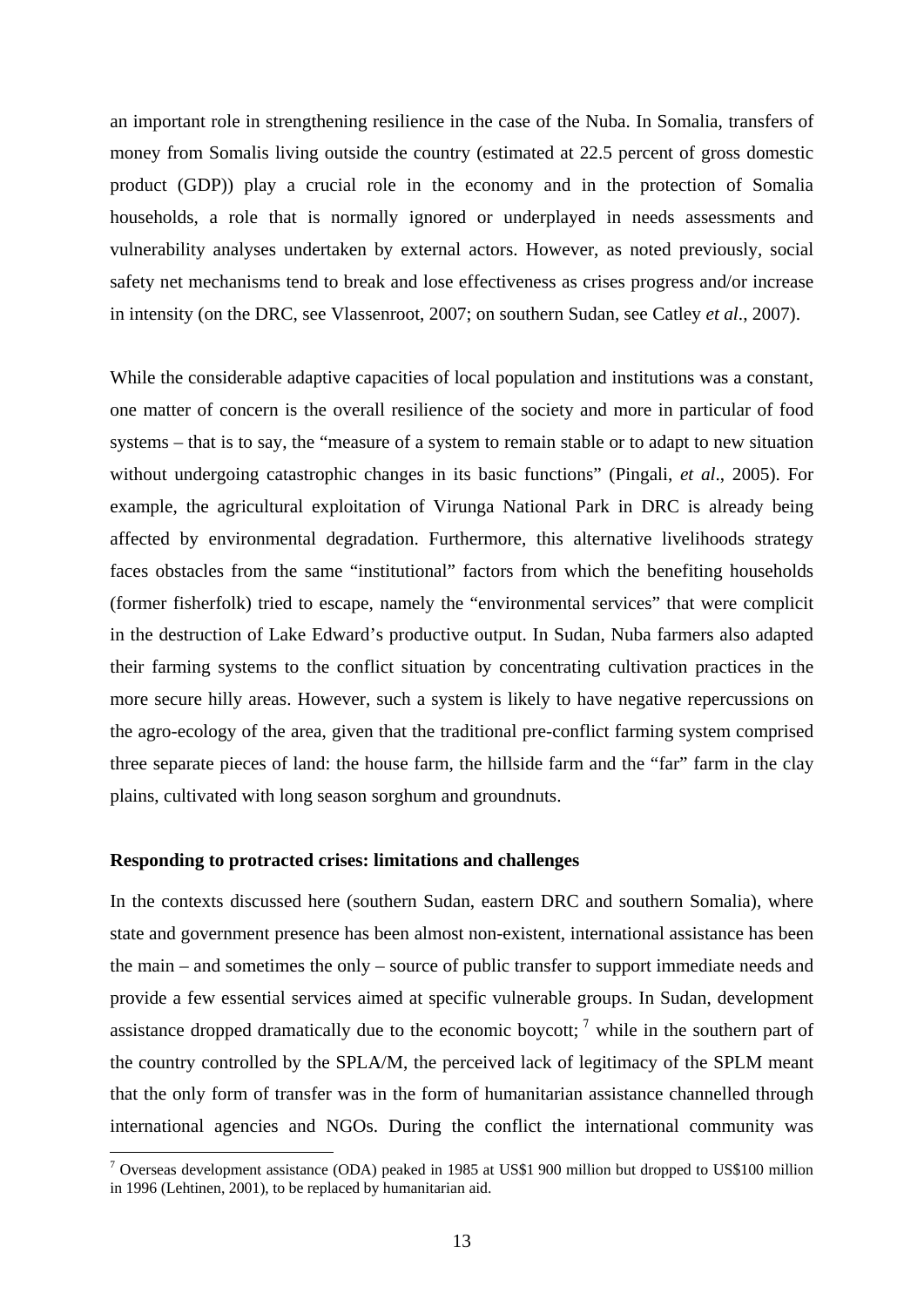<span id="page-13-0"></span>an important role in strengthening resilience in the case of the Nuba. In Somalia, transfers of money from Somalis living outside the country (estimated at 22.5 percent of gross domestic product (GDP)) play a crucial role in the economy and in the protection of Somalia households, a role that is normally ignored or underplayed in needs assessments and vulnerability analyses undertaken by external actors. However, as noted previously, social safety net mechanisms tend to break and lose effectiveness as crises progress and/or increase in intensity (on the DRC, see Vlassenroot, 2007; on southern Sudan, see Catley *et al*., 2007).

While the considerable adaptive capacities of local population and institutions was a constant, one matter of concern is the overall resilience of the society and more in particular of food systems – that is to say, the "measure of a system to remain stable or to adapt to new situation without undergoing catastrophic changes in its basic functions" (Pingali, *et al*., 2005). For example, the agricultural exploitation of Virunga National Park in DRC is already being affected by environmental degradation. Furthermore, this alternative livelihoods strategy faces obstacles from the same "institutional" factors from which the benefiting households (former fisherfolk) tried to escape, namely the "environmental services" that were complicit in the destruction of Lake Edward's productive output. In Sudan, Nuba farmers also adapted their farming systems to the conflict situation by concentrating cultivation practices in the more secure hilly areas. However, such a system is likely to have negative repercussions on the agro-ecology of the area, given that the traditional pre-conflict farming system comprised three separate pieces of land: the house farm, the hillside farm and the "far" farm in the clay plains, cultivated with long season sorghum and groundnuts.

#### **Responding to protracted crises: limitations and challenges**

<u>.</u>

In the contexts discussed here (southern Sudan, eastern DRC and southern Somalia), where state and government presence has been almost non-existent, international assistance has been the main – and sometimes the only – source of public transfer to support immediate needs and provide a few essential services aimed at specific vulnerable groups. In Sudan, development assistance dropped dramatically due to the economic boycott;  $\frac{7}{1}$  $\frac{7}{1}$  $\frac{7}{1}$  while in the southern part of the country controlled by the SPLA/M, the perceived lack of legitimacy of the SPLM meant that the only form of transfer was in the form of humanitarian assistance channelled through international agencies and NGOs. During the conflict the international community was

 $7$  Overseas development assistance (ODA) peaked in 1985 at US\$1 900 million but dropped to US\$100 million in 1996 (Lehtinen, 2001), to be replaced by humanitarian aid.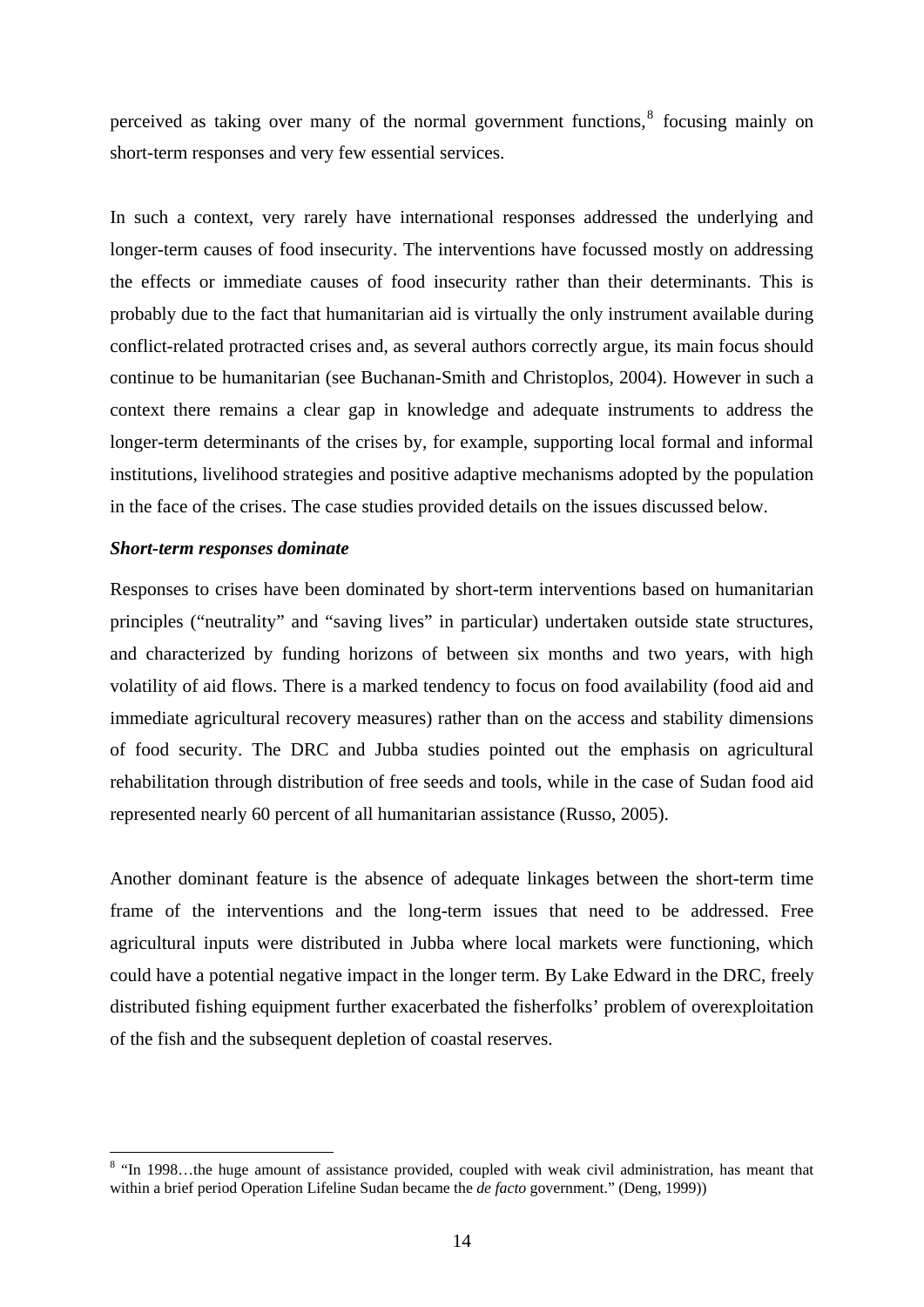<span id="page-14-0"></span>perceived as taking over many of the normal government functions, $<sup>8</sup>$  $<sup>8</sup>$  $<sup>8</sup>$  focusing mainly on</sup> short-term responses and very few essential services.

In such a context, very rarely have international responses addressed the underlying and longer-term causes of food insecurity. The interventions have focussed mostly on addressing the effects or immediate causes of food insecurity rather than their determinants. This is probably due to the fact that humanitarian aid is virtually the only instrument available during conflict-related protracted crises and, as several authors correctly argue, its main focus should continue to be humanitarian (see Buchanan-Smith and Christoplos, 2004). However in such a context there remains a clear gap in knowledge and adequate instruments to address the longer-term determinants of the crises by, for example, supporting local formal and informal institutions, livelihood strategies and positive adaptive mechanisms adopted by the population in the face of the crises. The case studies provided details on the issues discussed below.

#### *Short-term responses dominate*

<u>.</u>

Responses to crises have been dominated by short-term interventions based on humanitarian principles ("neutrality" and "saving lives" in particular) undertaken outside state structures, and characterized by funding horizons of between six months and two years, with high volatility of aid flows. There is a marked tendency to focus on food availability (food aid and immediate agricultural recovery measures) rather than on the access and stability dimensions of food security. The DRC and Jubba studies pointed out the emphasis on agricultural rehabilitation through distribution of free seeds and tools, while in the case of Sudan food aid represented nearly 60 percent of all humanitarian assistance (Russo, 2005).

Another dominant feature is the absence of adequate linkages between the short-term time frame of the interventions and the long-term issues that need to be addressed. Free agricultural inputs were distributed in Jubba where local markets were functioning, which could have a potential negative impact in the longer term. By Lake Edward in the DRC, freely distributed fishing equipment further exacerbated the fisherfolks' problem of overexploitation of the fish and the subsequent depletion of coastal reserves.

<sup>&</sup>lt;sup>8</sup> "In 1998...the huge amount of assistance provided, coupled with weak civil administration, has meant that within a brief period Operation Lifeline Sudan became the *de facto* government." (Deng, 1999))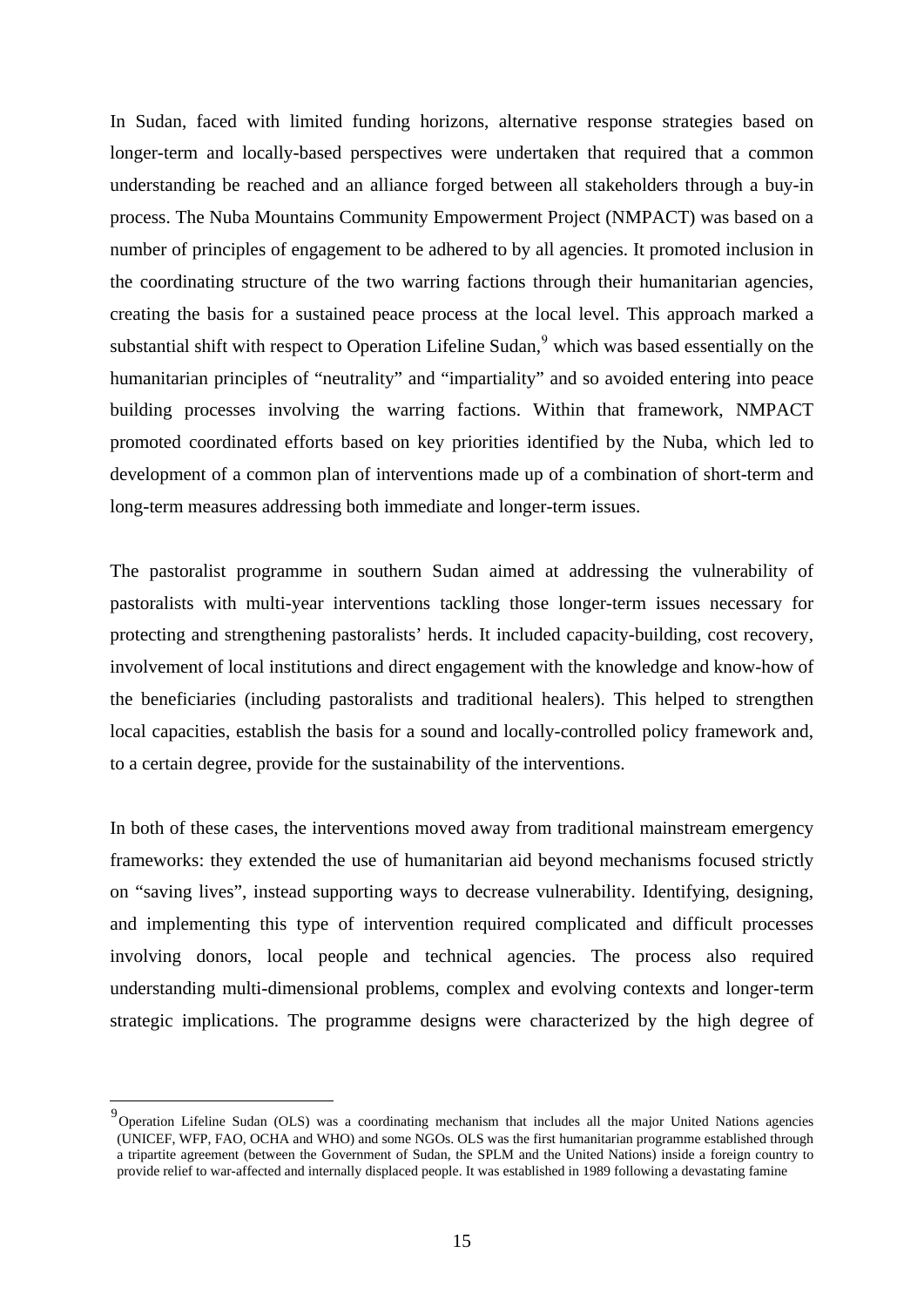<span id="page-15-0"></span>In Sudan, faced with limited funding horizons, alternative response strategies based on longer-term and locally-based perspectives were undertaken that required that a common understanding be reached and an alliance forged between all stakeholders through a buy-in process. The Nuba Mountains Community Empowerment Project (NMPACT) was based on a number of principles of engagement to be adhered to by all agencies. It promoted inclusion in the coordinating structure of the two warring factions through their humanitarian agencies, creating the basis for a sustained peace process at the local level. This approach marked a substantial shift with respect to Operation Lifeline Sudan,<sup>[9](#page-15-0)</sup> which was based essentially on the humanitarian principles of "neutrality" and "impartiality" and so avoided entering into peace building processes involving the warring factions. Within that framework, NMPACT promoted coordinated efforts based on key priorities identified by the Nuba, which led to development of a common plan of interventions made up of a combination of short-term and long-term measures addressing both immediate and longer-term issues.

The pastoralist programme in southern Sudan aimed at addressing the vulnerability of pastoralists with multi-year interventions tackling those longer-term issues necessary for protecting and strengthening pastoralists' herds. It included capacity-building, cost recovery, involvement of local institutions and direct engagement with the knowledge and know-how of the beneficiaries (including pastoralists and traditional healers). This helped to strengthen local capacities, establish the basis for a sound and locally-controlled policy framework and, to a certain degree, provide for the sustainability of the interventions.

In both of these cases, the interventions moved away from traditional mainstream emergency frameworks: they extended the use of humanitarian aid beyond mechanisms focused strictly on "saving lives", instead supporting ways to decrease vulnerability. Identifying, designing, and implementing this type of intervention required complicated and difficult processes involving donors, local people and technical agencies. The process also required understanding multi-dimensional problems, complex and evolving contexts and longer-term strategic implications. The programme designs were characterized by the high degree of

<u>.</u>

<sup>&</sup>lt;sup>9</sup> Operation Lifeline Sudan (OLS) was a coordinating mechanism that includes all the major United Nations agencies (UNICEF, WFP, FAO, OCHA and WHO) and some NGOs. OLS was the first humanitarian programme established through a tripartite agreement (between the Government of Sudan, the SPLM and the United Nations) inside a foreign country to provide relief to war-affected and internally displaced people. It was established in 1989 following a devastating famine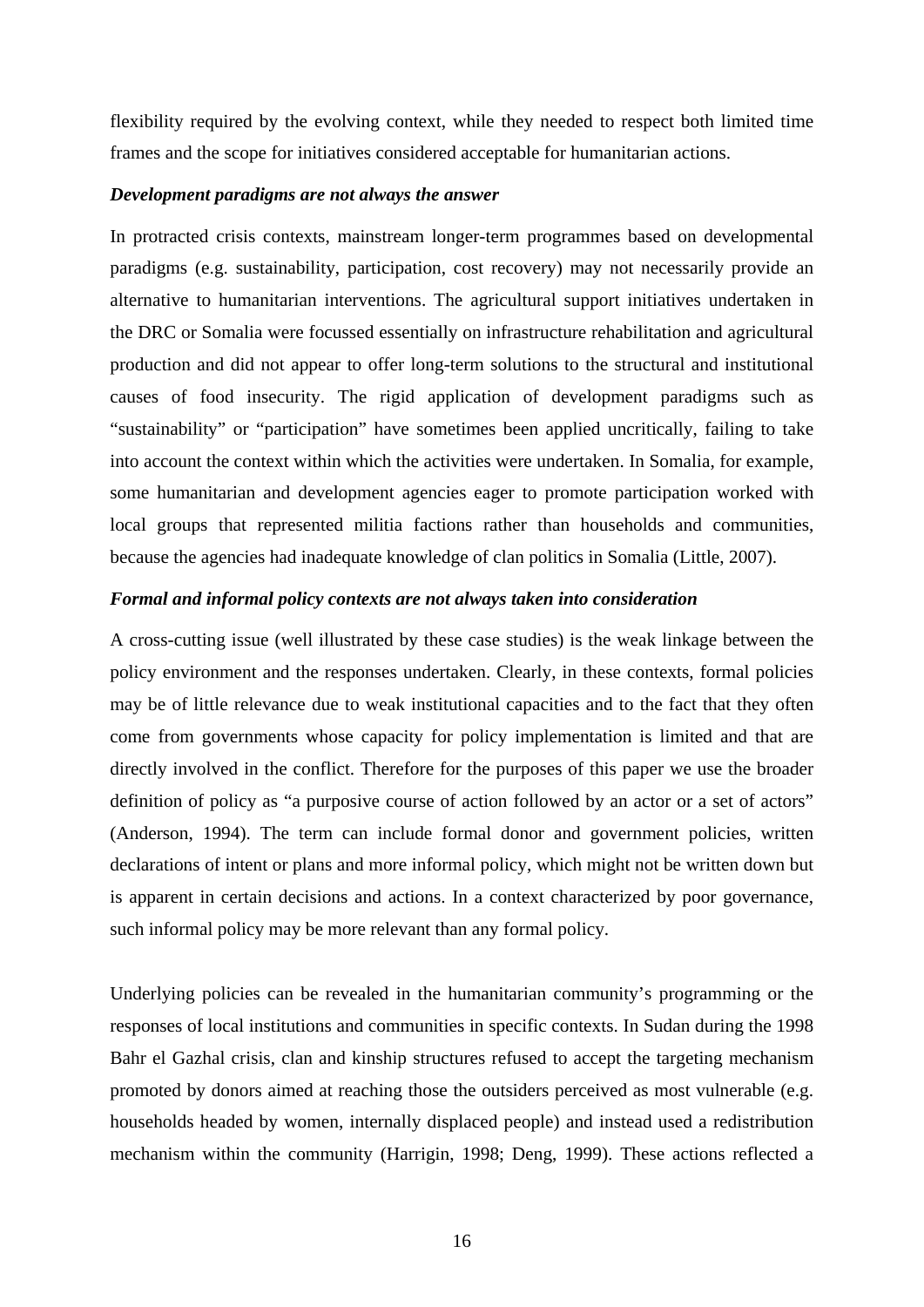flexibility required by the evolving context, while they needed to respect both limited time frames and the scope for initiatives considered acceptable for humanitarian actions.

#### *Development paradigms are not always the answer*

In protracted crisis contexts, mainstream longer-term programmes based on developmental paradigms (e.g. sustainability, participation, cost recovery) may not necessarily provide an alternative to humanitarian interventions. The agricultural support initiatives undertaken in the DRC or Somalia were focussed essentially on infrastructure rehabilitation and agricultural production and did not appear to offer long-term solutions to the structural and institutional causes of food insecurity. The rigid application of development paradigms such as "sustainability" or "participation" have sometimes been applied uncritically, failing to take into account the context within which the activities were undertaken. In Somalia, for example, some humanitarian and development agencies eager to promote participation worked with local groups that represented militia factions rather than households and communities, because the agencies had inadequate knowledge of clan politics in Somalia (Little, 2007).

#### *Formal and informal policy contexts are not always taken into consideration*

A cross-cutting issue (well illustrated by these case studies) is the weak linkage between the policy environment and the responses undertaken. Clearly, in these contexts, formal policies may be of little relevance due to weak institutional capacities and to the fact that they often come from governments whose capacity for policy implementation is limited and that are directly involved in the conflict. Therefore for the purposes of this paper we use the broader definition of policy as "a purposive course of action followed by an actor or a set of actors" (Anderson, 1994). The term can include formal donor and government policies, written declarations of intent or plans and more informal policy, which might not be written down but is apparent in certain decisions and actions. In a context characterized by poor governance, such informal policy may be more relevant than any formal policy.

Underlying policies can be revealed in the humanitarian community's programming or the responses of local institutions and communities in specific contexts. In Sudan during the 1998 Bahr el Gazhal crisis, clan and kinship structures refused to accept the targeting mechanism promoted by donors aimed at reaching those the outsiders perceived as most vulnerable (e.g. households headed by women, internally displaced people) and instead used a redistribution mechanism within the community (Harrigin, 1998; Deng, 1999). These actions reflected a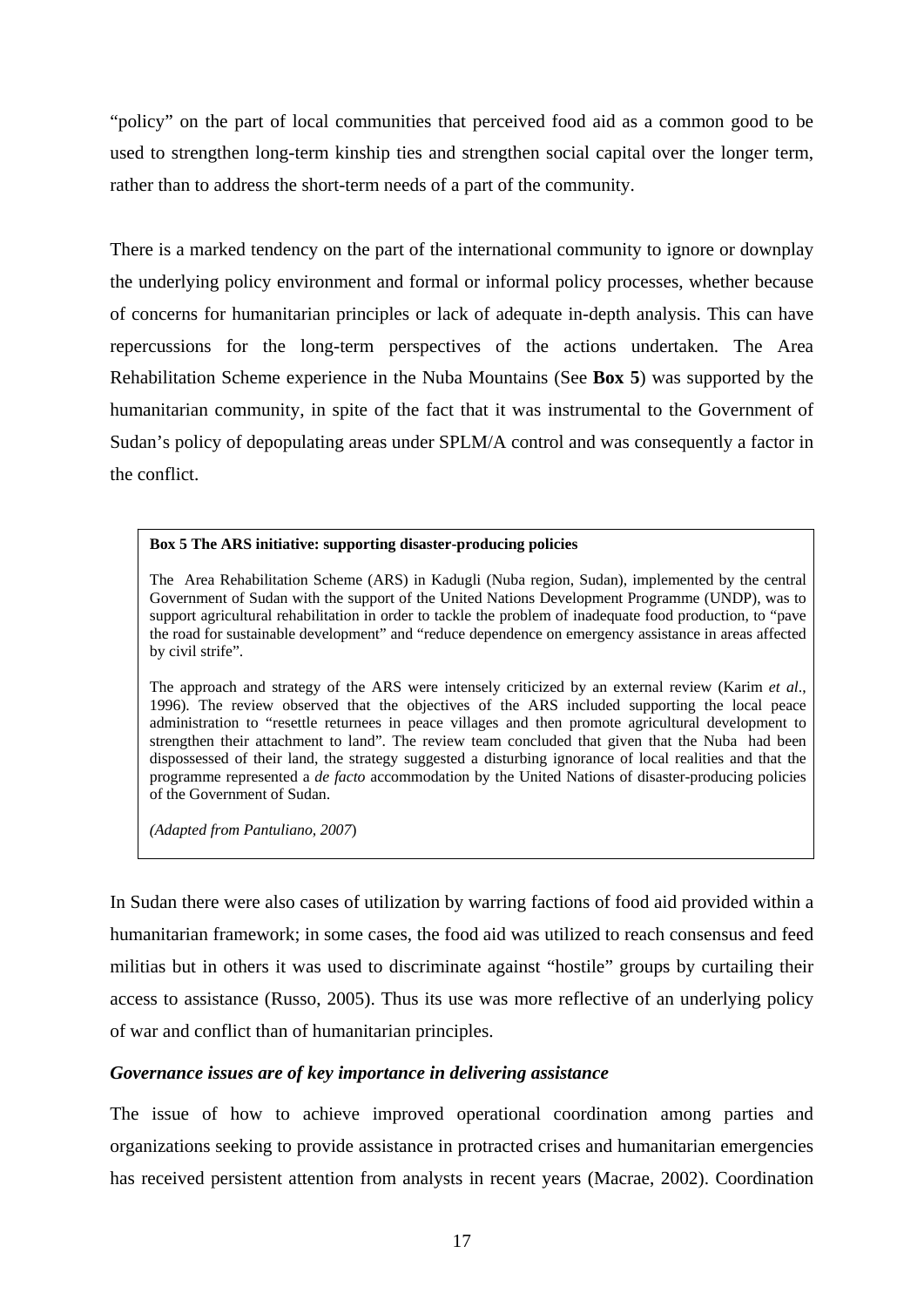"policy" on the part of local communities that perceived food aid as a common good to be used to strengthen long-term kinship ties and strengthen social capital over the longer term, rather than to address the short-term needs of a part of the community.

There is a marked tendency on the part of the international community to ignore or downplay the underlying policy environment and formal or informal policy processes, whether because of concerns for humanitarian principles or lack of adequate in-depth analysis. This can have repercussions for the long-term perspectives of the actions undertaken. The Area Rehabilitation Scheme experience in the Nuba Mountains (See **Box 5**) was supported by the humanitarian community, in spite of the fact that it was instrumental to the Government of Sudan's policy of depopulating areas under SPLM/A control and was consequently a factor in the conflict.

#### **Box 5 The ARS initiative: supporting disaster-producing policies**

The Area Rehabilitation Scheme (ARS) in Kadugli (Nuba region, Sudan), implemented by the central Government of Sudan with the support of the United Nations Development Programme (UNDP), was to support agricultural rehabilitation in order to tackle the problem of inadequate food production, to "pave the road for sustainable development" and "reduce dependence on emergency assistance in areas affected by civil strife".

The approach and strategy of the ARS were intensely criticized by an external review (Karim *et al*., 1996). The review observed that the objectives of the ARS included supporting the local peace administration to "resettle returnees in peace villages and then promote agricultural development to strengthen their attachment to land". The review team concluded that given that the Nuba had been dispossessed of their land, the strategy suggested a disturbing ignorance of local realities and that the programme represented a *de facto* accommodation by the United Nations of disaster-producing policies of the Government of Sudan.

*(Adapted from Pantuliano, 2007*)

In Sudan there were also cases of utilization by warring factions of food aid provided within a humanitarian framework; in some cases, the food aid was utilized to reach consensus and feed militias but in others it was used to discriminate against "hostile" groups by curtailing their access to assistance (Russo, 2005). Thus its use was more reflective of an underlying policy of war and conflict than of humanitarian principles.

### *Governance issues are of key importance in delivering assistance*

The issue of how to achieve improved operational coordination among parties and organizations seeking to provide assistance in protracted crises and humanitarian emergencies has received persistent attention from analysts in recent years (Macrae, 2002). Coordination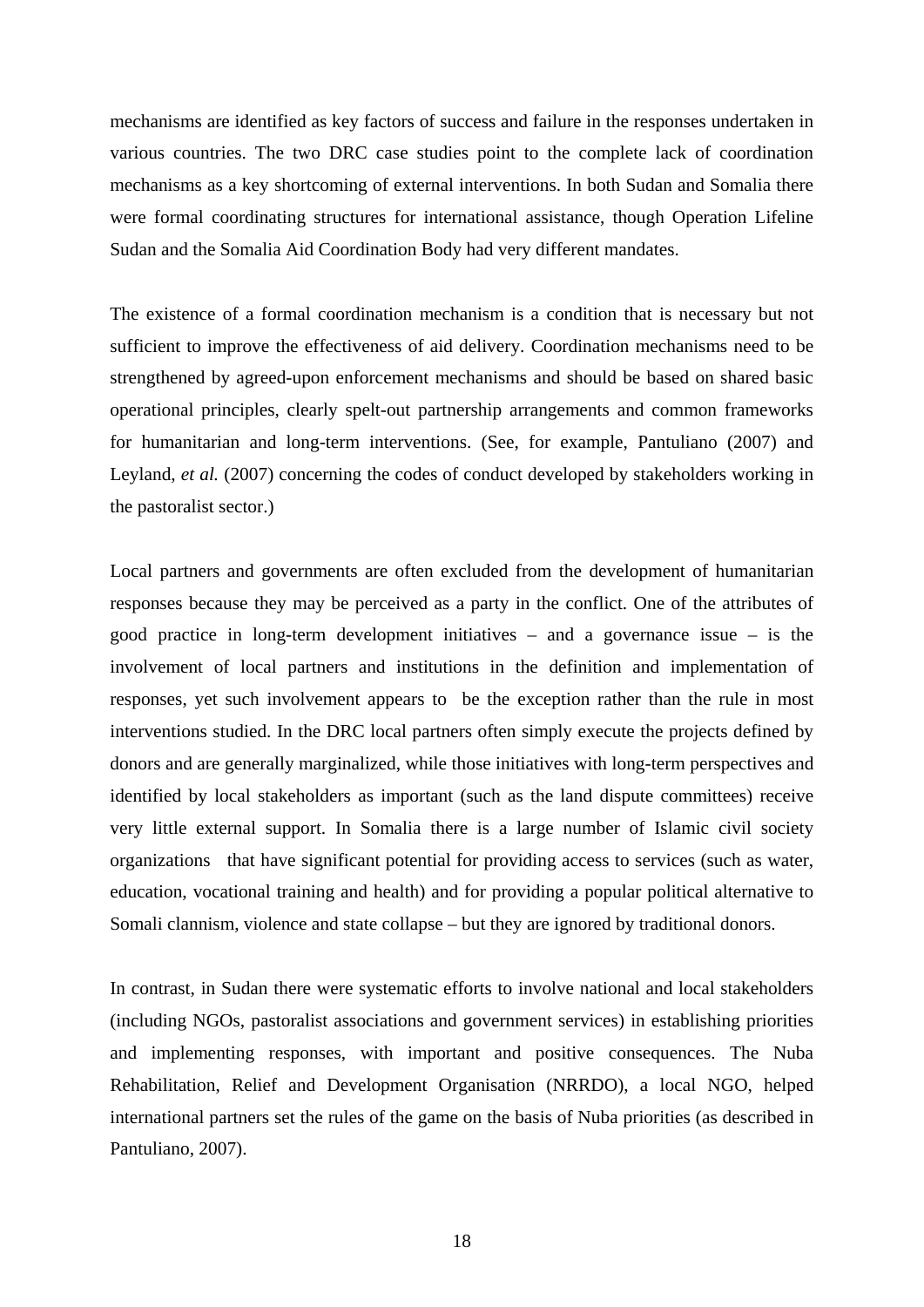mechanisms are identified as key factors of success and failure in the responses undertaken in various countries. The two DRC case studies point to the complete lack of coordination mechanisms as a key shortcoming of external interventions. In both Sudan and Somalia there were formal coordinating structures for international assistance, though Operation Lifeline Sudan and the Somalia Aid Coordination Body had very different mandates.

The existence of a formal coordination mechanism is a condition that is necessary but not sufficient to improve the effectiveness of aid delivery. Coordination mechanisms need to be strengthened by agreed-upon enforcement mechanisms and should be based on shared basic operational principles, clearly spelt-out partnership arrangements and common frameworks for humanitarian and long-term interventions. (See, for example, Pantuliano (2007) and Leyland, *et al.* (2007) concerning the codes of conduct developed by stakeholders working in the pastoralist sector.)

Local partners and governments are often excluded from the development of humanitarian responses because they may be perceived as a party in the conflict. One of the attributes of good practice in long-term development initiatives – and a governance issue – is the involvement of local partners and institutions in the definition and implementation of responses, yet such involvement appears to be the exception rather than the rule in most interventions studied. In the DRC local partners often simply execute the projects defined by donors and are generally marginalized, while those initiatives with long-term perspectives and identified by local stakeholders as important (such as the land dispute committees) receive very little external support. In Somalia there is a large number of Islamic civil society organizations that have significant potential for providing access to services (such as water, education, vocational training and health) and for providing a popular political alternative to Somali clannism, violence and state collapse – but they are ignored by traditional donors.

In contrast, in Sudan there were systematic efforts to involve national and local stakeholders (including NGOs, pastoralist associations and government services) in establishing priorities and implementing responses, with important and positive consequences. The Nuba Rehabilitation, Relief and Development Organisation (NRRDO), a local NGO, helped international partners set the rules of the game on the basis of Nuba priorities (as described in Pantuliano, 2007).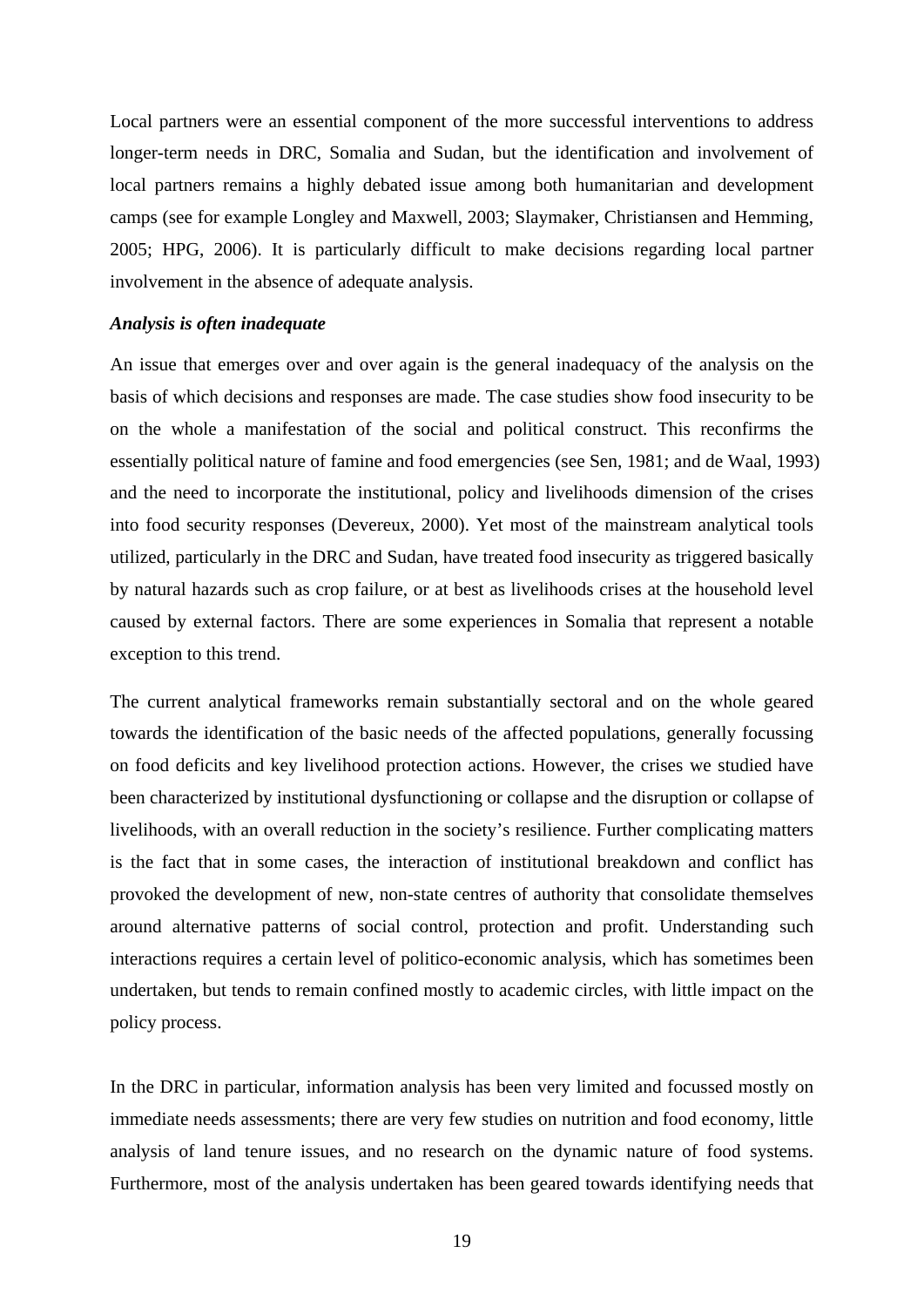Local partners were an essential component of the more successful interventions to address longer-term needs in DRC, Somalia and Sudan, but the identification and involvement of local partners remains a highly debated issue among both humanitarian and development camps (see for example Longley and Maxwell, 2003; Slaymaker, Christiansen and Hemming, 2005; HPG, 2006). It is particularly difficult to make decisions regarding local partner involvement in the absence of adequate analysis.

#### *Analysis is often inadequate*

An issue that emerges over and over again is the general inadequacy of the analysis on the basis of which decisions and responses are made. The case studies show food insecurity to be on the whole a manifestation of the social and political construct. This reconfirms the essentially political nature of famine and food emergencies (see Sen, 1981; and de Waal, 1993) and the need to incorporate the institutional, policy and livelihoods dimension of the crises into food security responses (Devereux, 2000). Yet most of the mainstream analytical tools utilized, particularly in the DRC and Sudan, have treated food insecurity as triggered basically by natural hazards such as crop failure, or at best as livelihoods crises at the household level caused by external factors. There are some experiences in Somalia that represent a notable exception to this trend.

The current analytical frameworks remain substantially sectoral and on the whole geared towards the identification of the basic needs of the affected populations, generally focussing on food deficits and key livelihood protection actions. However, the crises we studied have been characterized by institutional dysfunctioning or collapse and the disruption or collapse of livelihoods, with an overall reduction in the society's resilience. Further complicating matters is the fact that in some cases, the interaction of institutional breakdown and conflict has provoked the development of new, non-state centres of authority that consolidate themselves around alternative patterns of social control, protection and profit. Understanding such interactions requires a certain level of politico-economic analysis, which has sometimes been undertaken, but tends to remain confined mostly to academic circles, with little impact on the policy process.

In the DRC in particular, information analysis has been very limited and focussed mostly on immediate needs assessments; there are very few studies on nutrition and food economy, little analysis of land tenure issues, and no research on the dynamic nature of food systems. Furthermore, most of the analysis undertaken has been geared towards identifying needs that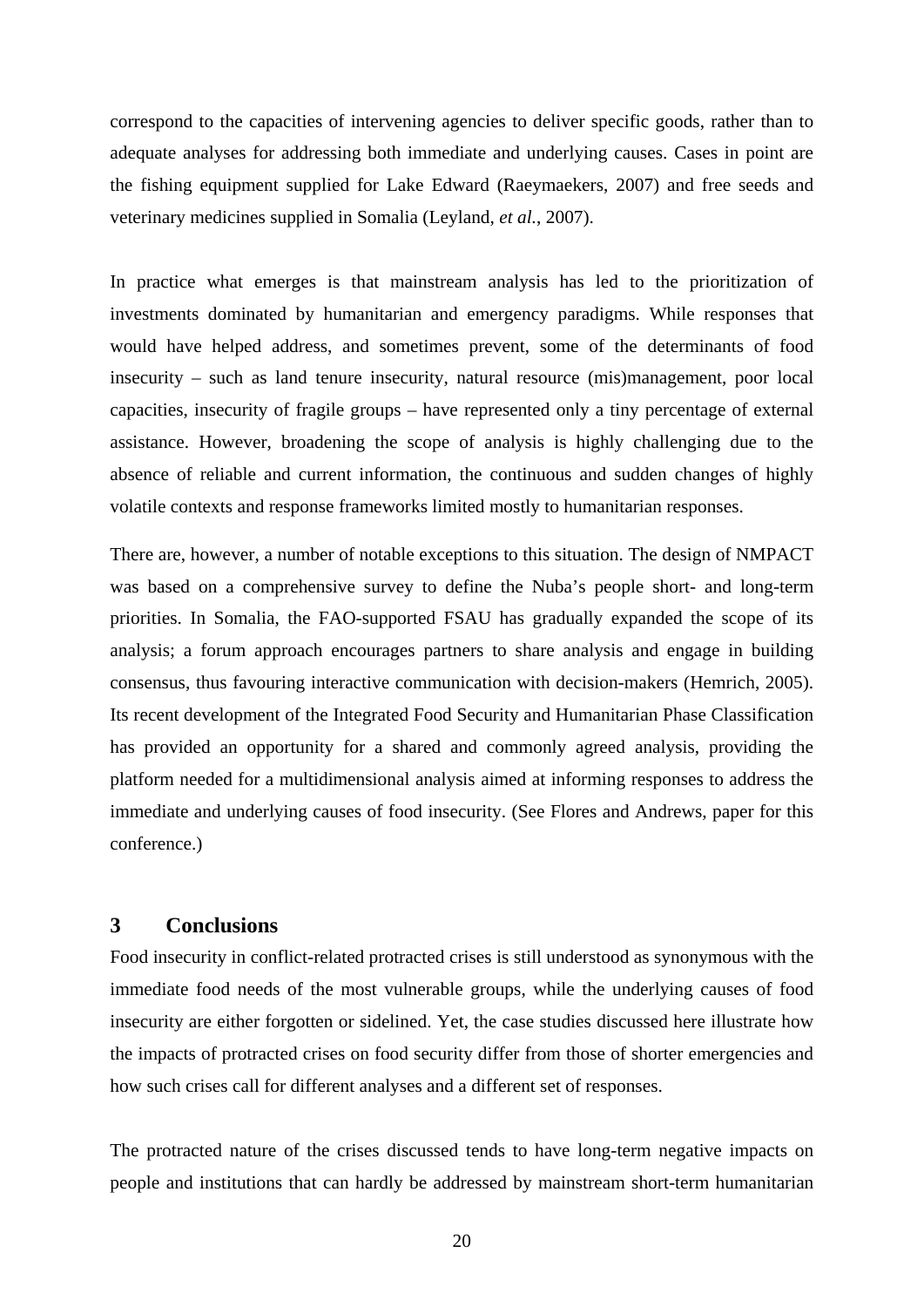correspond to the capacities of intervening agencies to deliver specific goods, rather than to adequate analyses for addressing both immediate and underlying causes. Cases in point are the fishing equipment supplied for Lake Edward (Raeymaekers, 2007) and free seeds and veterinary medicines supplied in Somalia (Leyland, *et al.*, 2007).

In practice what emerges is that mainstream analysis has led to the prioritization of investments dominated by humanitarian and emergency paradigms. While responses that would have helped address, and sometimes prevent, some of the determinants of food insecurity – such as land tenure insecurity, natural resource (mis)management, poor local capacities, insecurity of fragile groups – have represented only a tiny percentage of external assistance. However, broadening the scope of analysis is highly challenging due to the absence of reliable and current information, the continuous and sudden changes of highly volatile contexts and response frameworks limited mostly to humanitarian responses.

There are, however, a number of notable exceptions to this situation. The design of NMPACT was based on a comprehensive survey to define the Nuba's people short- and long-term priorities. In Somalia, the FAO-supported FSAU has gradually expanded the scope of its analysis; a forum approach encourages partners to share analysis and engage in building consensus, thus favouring interactive communication with decision-makers (Hemrich, 2005). Its recent development of the Integrated Food Security and Humanitarian Phase Classification has provided an opportunity for a shared and commonly agreed analysis, providing the platform needed for a multidimensional analysis aimed at informing responses to address the immediate and underlying causes of food insecurity. (See Flores and Andrews, paper for this conference.)

# **3 Conclusions**

Food insecurity in conflict-related protracted crises is still understood as synonymous with the immediate food needs of the most vulnerable groups, while the underlying causes of food insecurity are either forgotten or sidelined. Yet, the case studies discussed here illustrate how the impacts of protracted crises on food security differ from those of shorter emergencies and how such crises call for different analyses and a different set of responses.

The protracted nature of the crises discussed tends to have long-term negative impacts on people and institutions that can hardly be addressed by mainstream short-term humanitarian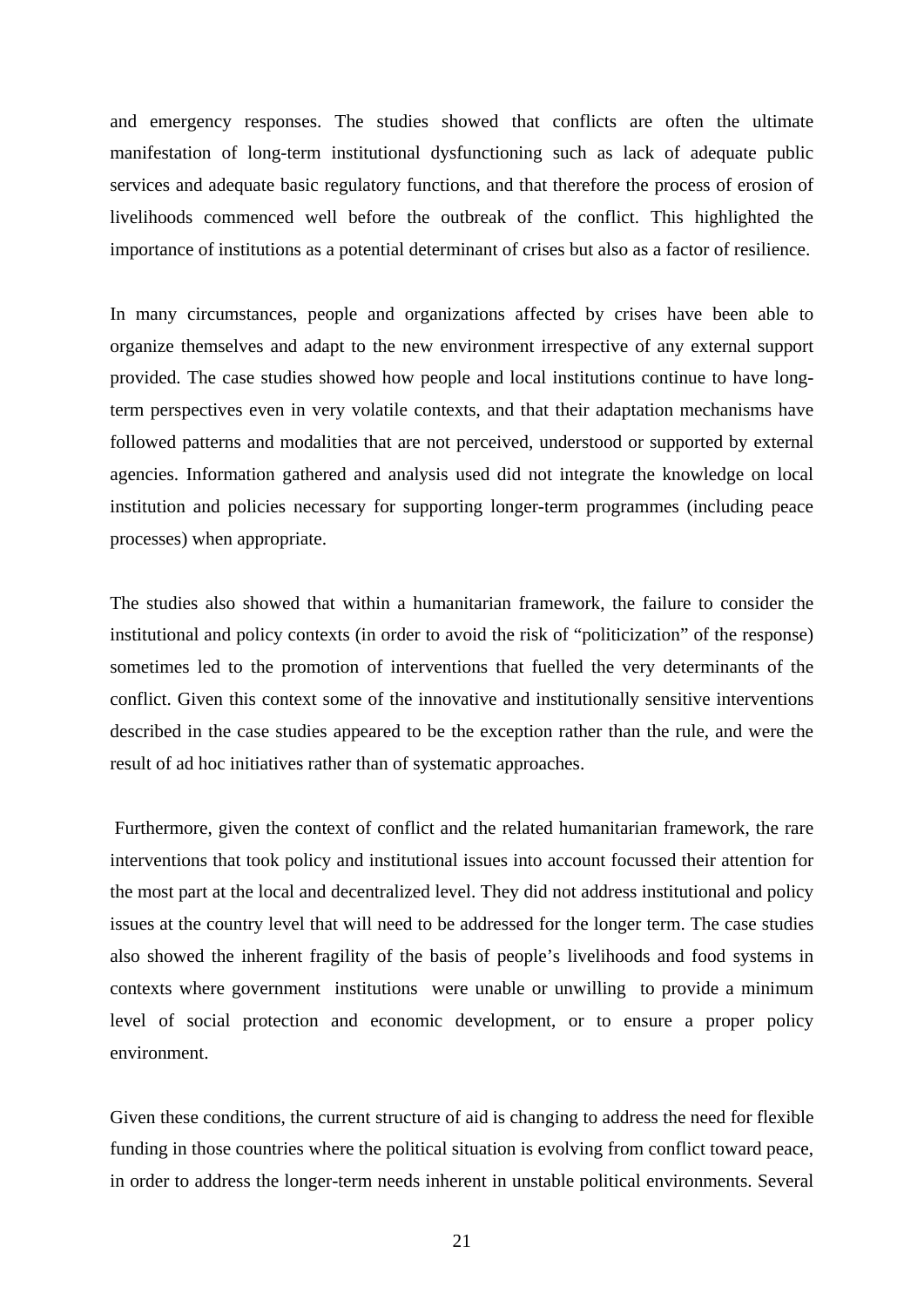and emergency responses. The studies showed that conflicts are often the ultimate manifestation of long-term institutional dysfunctioning such as lack of adequate public services and adequate basic regulatory functions, and that therefore the process of erosion of livelihoods commenced well before the outbreak of the conflict. This highlighted the importance of institutions as a potential determinant of crises but also as a factor of resilience.

In many circumstances, people and organizations affected by crises have been able to organize themselves and adapt to the new environment irrespective of any external support provided. The case studies showed how people and local institutions continue to have longterm perspectives even in very volatile contexts, and that their adaptation mechanisms have followed patterns and modalities that are not perceived, understood or supported by external agencies. Information gathered and analysis used did not integrate the knowledge on local institution and policies necessary for supporting longer-term programmes (including peace processes) when appropriate.

The studies also showed that within a humanitarian framework, the failure to consider the institutional and policy contexts (in order to avoid the risk of "politicization" of the response) sometimes led to the promotion of interventions that fuelled the very determinants of the conflict. Given this context some of the innovative and institutionally sensitive interventions described in the case studies appeared to be the exception rather than the rule, and were the result of ad hoc initiatives rather than of systematic approaches.

 Furthermore, given the context of conflict and the related humanitarian framework, the rare interventions that took policy and institutional issues into account focussed their attention for the most part at the local and decentralized level. They did not address institutional and policy issues at the country level that will need to be addressed for the longer term. The case studies also showed the inherent fragility of the basis of people's livelihoods and food systems in contexts where government institutions were unable or unwilling to provide a minimum level of social protection and economic development, or to ensure a proper policy environment.

Given these conditions, the current structure of aid is changing to address the need for flexible funding in those countries where the political situation is evolving from conflict toward peace, in order to address the longer-term needs inherent in unstable political environments. Several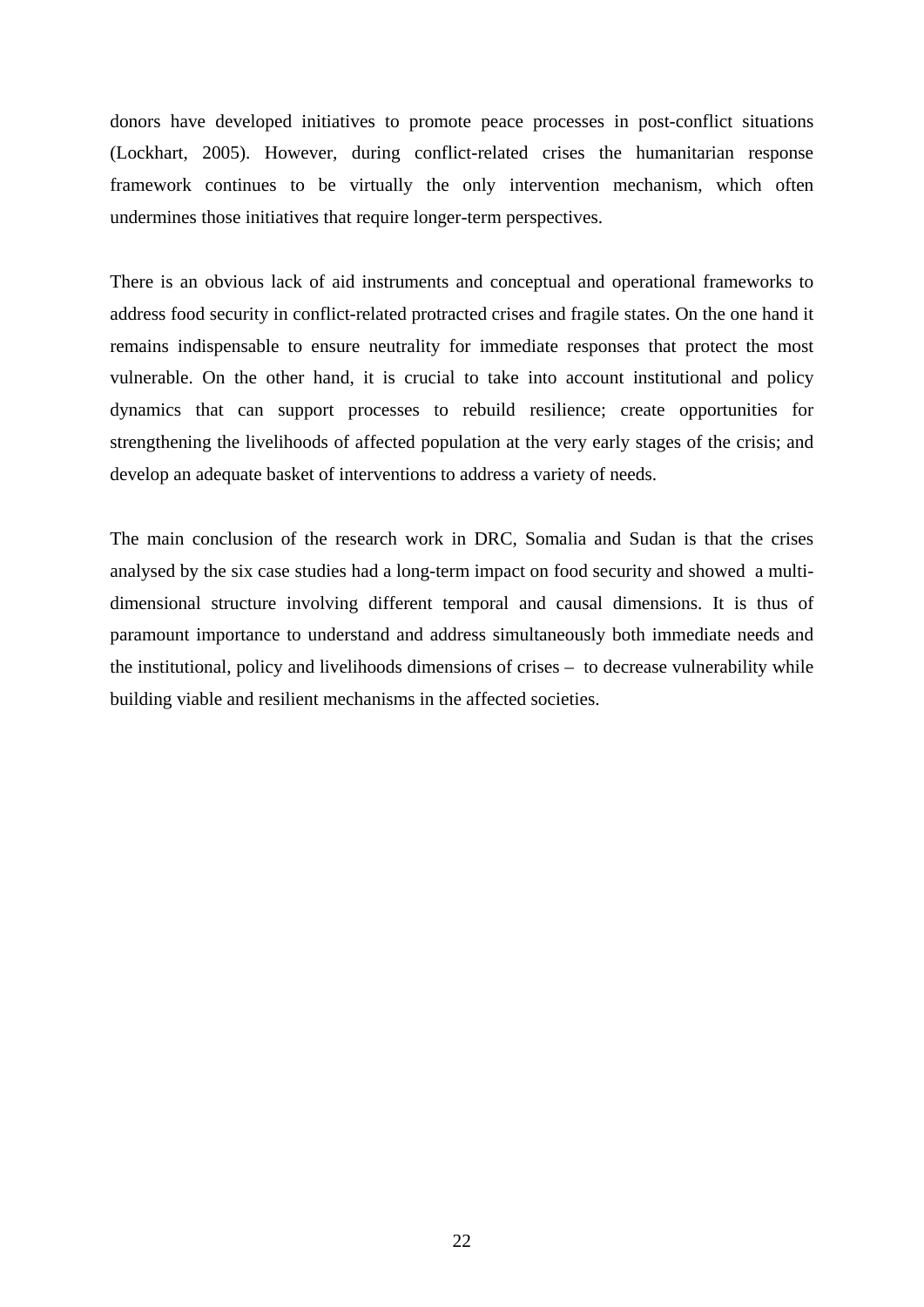donors have developed initiatives to promote peace processes in post-conflict situations (Lockhart, 2005). However, during conflict-related crises the humanitarian response framework continues to be virtually the only intervention mechanism, which often undermines those initiatives that require longer-term perspectives.

There is an obvious lack of aid instruments and conceptual and operational frameworks to address food security in conflict-related protracted crises and fragile states. On the one hand it remains indispensable to ensure neutrality for immediate responses that protect the most vulnerable. On the other hand, it is crucial to take into account institutional and policy dynamics that can support processes to rebuild resilience; create opportunities for strengthening the livelihoods of affected population at the very early stages of the crisis; and develop an adequate basket of interventions to address a variety of needs.

The main conclusion of the research work in DRC, Somalia and Sudan is that the crises analysed by the six case studies had a long-term impact on food security and showed a multidimensional structure involving different temporal and causal dimensions. It is thus of paramount importance to understand and address simultaneously both immediate needs and the institutional, policy and livelihoods dimensions of crises – to decrease vulnerability while building viable and resilient mechanisms in the affected societies.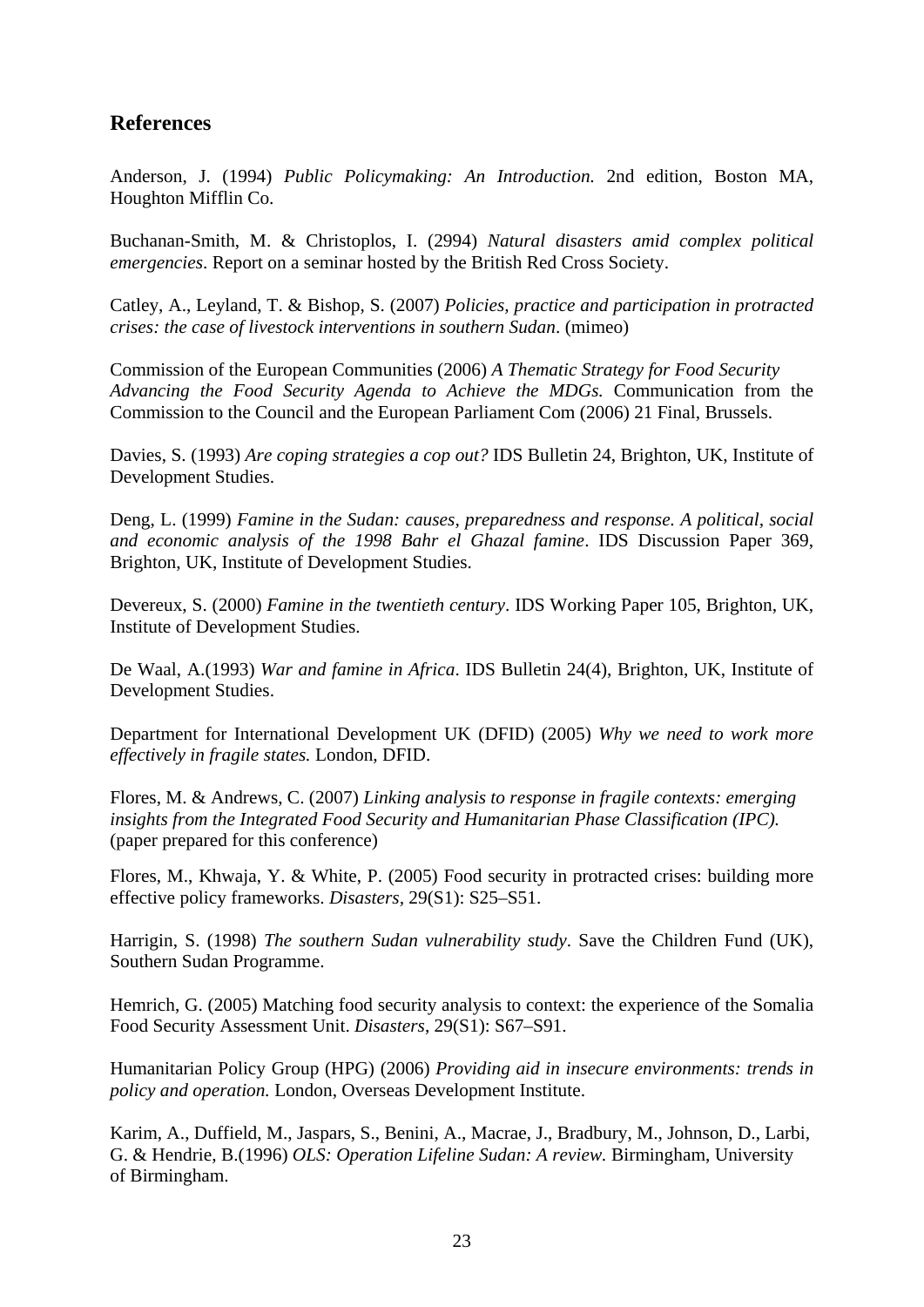# **References**

Anderson, J. (1994) *Public Policymaking: An Introduction.* 2nd edition, Boston MA, Houghton Mifflin Co.

Buchanan-Smith, M. & Christoplos, I. (2994) *Natural disasters amid complex political emergencies*. Report on a seminar hosted by the British Red Cross Society.

Catley, A., Leyland, T. & Bishop, S. (2007) *Policies, practice and participation in protracted crises: the case of livestock interventions in southern Sudan*. (mimeo)

Commission of the European Communities (2006) *A Thematic Strategy for Food Security Advancing the Food Security Agenda to Achieve the MDGs.* Communication from the Commission to the Council and the European Parliament Com (2006) 21 Final, Brussels.

Davies, S. (1993) *Are coping strategies a cop out?* IDS Bulletin 24, Brighton, UK, Institute of Development Studies.

Deng, L. (1999) *Famine in the Sudan: causes, preparedness and response. A political, social and economic analysis of the 1998 Bahr el Ghazal famine*. IDS Discussion Paper 369, Brighton, UK, Institute of Development Studies.

Devereux, S. (2000) *Famine in the twentieth century*. IDS Working Paper 105, Brighton, UK, Institute of Development Studies.

De Waal, A.(1993) *War and famine in Africa*. IDS Bulletin 24(4), Brighton, UK, Institute of Development Studies.

Department for International Development UK (DFID) (2005) *Why we need to work more effectively in fragile states.* London, DFID.

Flores, M. & Andrews, C. (2007) *Linking analysis to response in fragile contexts: emerging insights from the Integrated Food Security and Humanitarian Phase Classification (IPC).* (paper prepared for this conference)

Flores, M., Khwaja, Y. & White, P. (2005) Food security in protracted crises: building more effective policy frameworks. *Disasters,* 29(S1): S25–S51.

Harrigin, S. (1998) *The southern Sudan vulnerability study*. Save the Children Fund (UK), Southern Sudan Programme.

Hemrich, G. (2005) Matching food security analysis to context: the experience of the Somalia Food Security Assessment Unit. *Disasters*, 29(S1): S67–S91.

Humanitarian Policy Group (HPG) (2006) *Providing aid in insecure environments: trends in policy and operation.* London, Overseas Development Institute.

Karim, A., Duffield, M., Jaspars, S., Benini, A., Macrae, J., Bradbury, M., Johnson, D., Larbi, G. & Hendrie, B.(1996) *OLS: Operation Lifeline Sudan: A review.* Birmingham, University of Birmingham.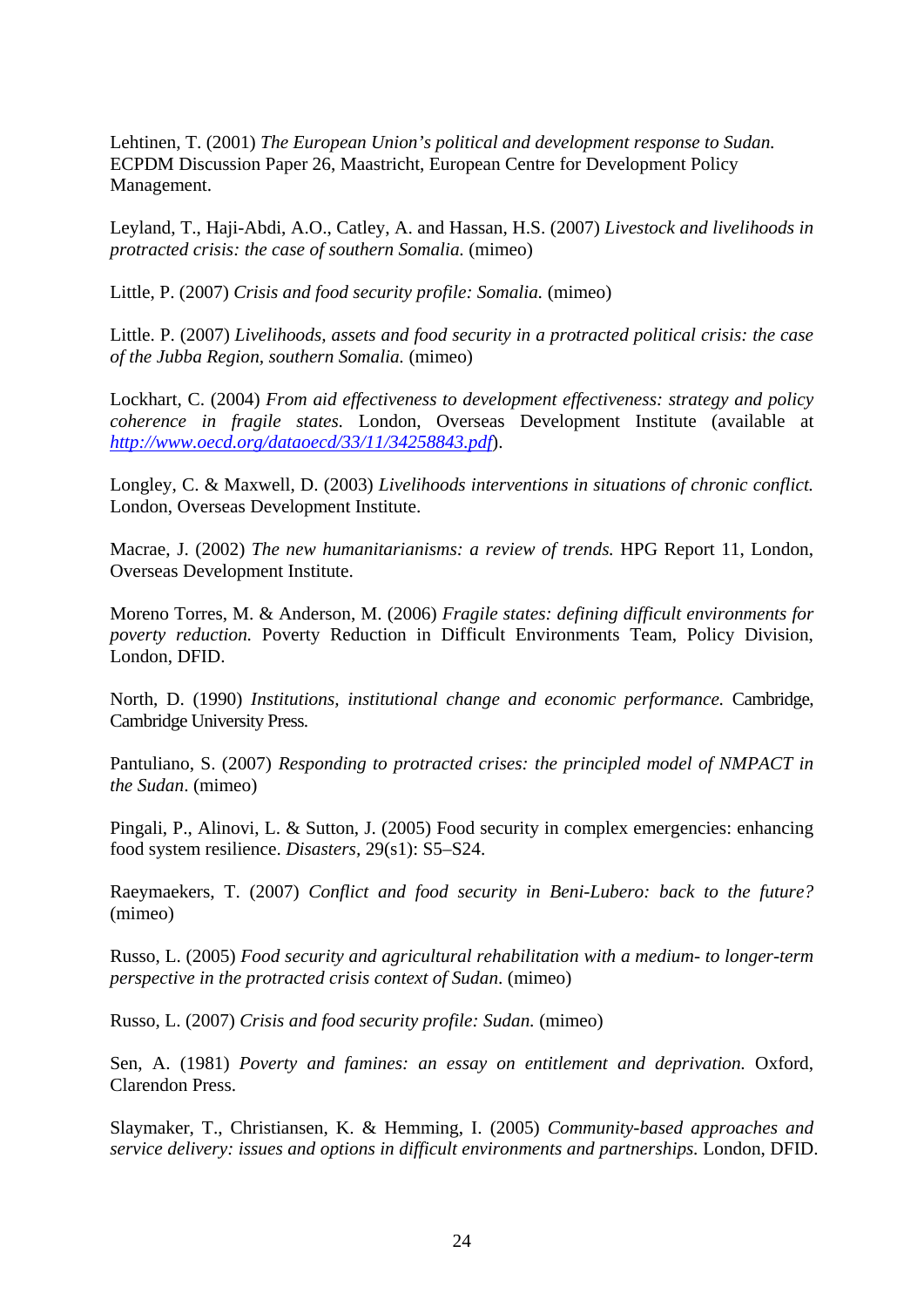Lehtinen, T. (2001) *The European Union's political and development response to Sudan.*  ECPDM Discussion Paper 26, Maastricht, European Centre for Development Policy Management.

Leyland, T., Haji-Abdi, A.O., Catley, A. and Hassan, H.S. (2007) *Livestock and livelihoods in protracted crisis: the case of southern Somalia.* (mimeo)

Little, P. (2007) *Crisis and food security profile: Somalia.* (mimeo)

Little. P. (2007) *Livelihoods, assets and food security in a protracted political crisis: the case of the Jubba Region, southern Somalia.* (mimeo)

Lockhart, C. (2004) *From aid effectiveness to development effectiveness: strategy and policy coherence in fragile states.* London, Overseas Development Institute (available at *<http://www.oecd.org/dataoecd/33/11/34258843.pdf>*).

Longley, C. & Maxwell, D. (2003) *Livelihoods interventions in situations of chronic conflict.* London, Overseas Development Institute.

Macrae, J. (2002) *The new humanitarianisms: a review of trends.* HPG Report 11, London, Overseas Development Institute.

Moreno Torres, M. & Anderson, M. (2006) *Fragile states: defining difficult environments for poverty reduction.* Poverty Reduction in Difficult Environments Team, Policy Division, London, DFID.

North, D. (1990) *Institutions, institutional change and economic performance.* Cambridge, Cambridge University Press.

Pantuliano, S. (2007) *Responding to protracted crises: the principled model of NMPACT in the Sudan*. (mimeo)

Pingali, P., Alinovi, L. & Sutton, J. (2005) Food security in complex emergencies: enhancing food system resilience. *Disasters,* 29(s1): S5–S24.

Raeymaekers, T. (2007) *Conflict and food security in Beni-Lubero: back to the future?*  (mimeo)

Russo, L. (2005) *Food security and agricultural rehabilitation with a medium- to longer-term perspective in the protracted crisis context of Sudan*. (mimeo)

Russo, L. (2007) *Crisis and food security profile: Sudan.* (mimeo)

Sen, A. (1981) *Poverty and famines: an essay on entitlement and deprivation.* Oxford, Clarendon Press.

Slaymaker, T., Christiansen, K. & Hemming, I. (2005) *Community-based approaches and service delivery: issues and options in difficult environments and partnerships.* London, DFID.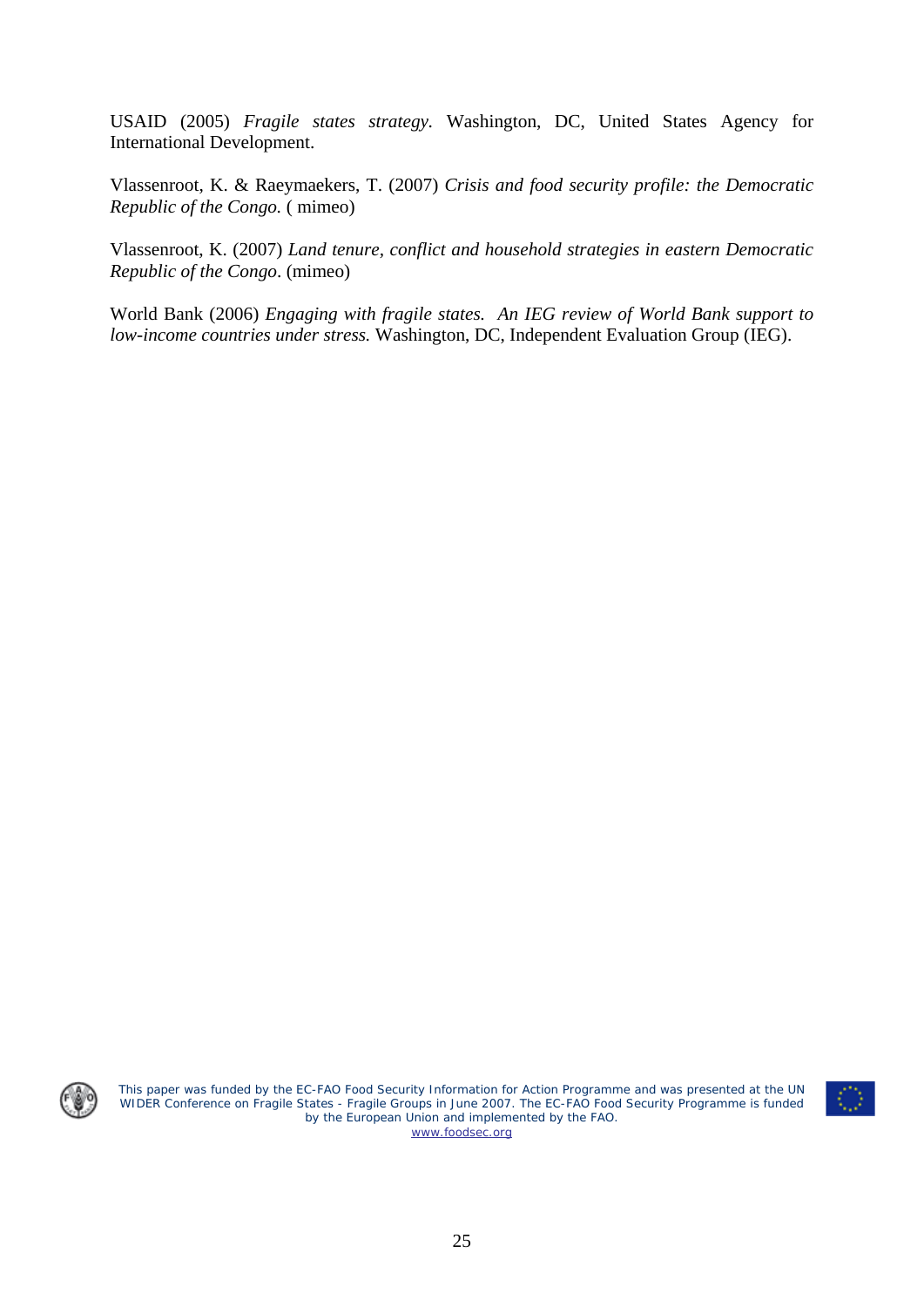USAID (2005) *Fragile states strategy.* Washington, DC, United States Agency for International Development.

Vlassenroot, K. & Raeymaekers, T. (2007) *Crisis and food security profile: the Democratic Republic of the Congo.* ( mimeo)

Vlassenroot, K. (2007) *Land tenure, conflict and household strategies in eastern Democratic Republic of the Congo*. (mimeo)

World Bank (2006) *Engaging with fragile states. An IEG review of World Bank support to low-income countries under stress.* Washington, DC, Independent Evaluation Group (IEG).



This paper was funded by the EC-FAO Food Security Information for Action Programme and was presented at the UN WIDER Conference on Fragile States - Fragile Groups in June 2007. The EC-FAO Food Security Programme is funded by the European Union and implemented by the FAO. [www.foodsec.org](http://www.foodsec.org/)